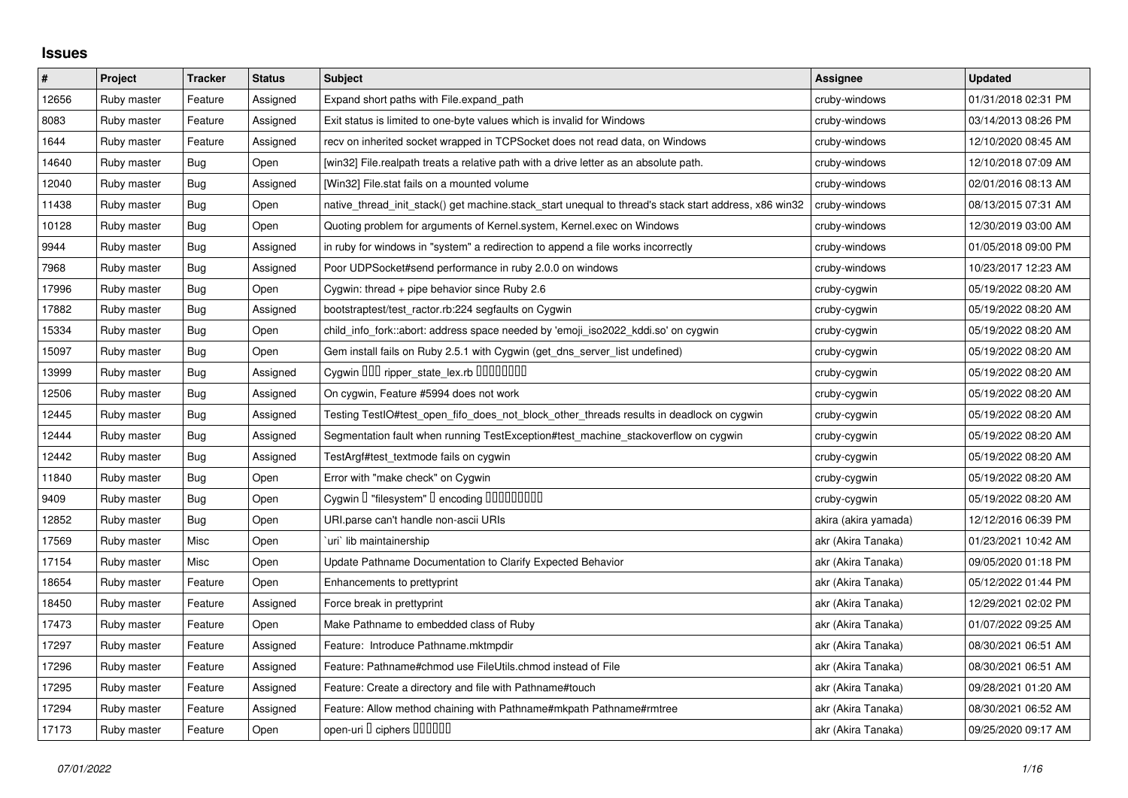## **Issues**

| $\pmb{\#}$ | Project     | <b>Tracker</b> | <b>Status</b> | <b>Subject</b>                                                                                        | Assignee             | <b>Updated</b>      |
|------------|-------------|----------------|---------------|-------------------------------------------------------------------------------------------------------|----------------------|---------------------|
| 12656      | Ruby master | Feature        | Assigned      | Expand short paths with File.expand_path                                                              | cruby-windows        | 01/31/2018 02:31 PM |
| 8083       | Ruby master | Feature        | Assigned      | Exit status is limited to one-byte values which is invalid for Windows                                | cruby-windows        | 03/14/2013 08:26 PM |
| 1644       | Ruby master | Feature        | Assigned      | recv on inherited socket wrapped in TCPSocket does not read data, on Windows                          | cruby-windows        | 12/10/2020 08:45 AM |
| 14640      | Ruby master | <b>Bug</b>     | Open          | [win32] File.realpath treats a relative path with a drive letter as an absolute path.                 | cruby-windows        | 12/10/2018 07:09 AM |
| 12040      | Ruby master | <b>Bug</b>     | Assigned      | [Win32] File.stat fails on a mounted volume                                                           | cruby-windows        | 02/01/2016 08:13 AM |
| 11438      | Ruby master | Bug            | Open          | native_thread_init_stack() get machine.stack_start unequal to thread's stack start address, x86 win32 | cruby-windows        | 08/13/2015 07:31 AM |
| 10128      | Ruby master | Bug            | Open          | Quoting problem for arguments of Kernel.system, Kernel.exec on Windows                                | cruby-windows        | 12/30/2019 03:00 AM |
| 9944       | Ruby master | Bug            | Assigned      | in ruby for windows in "system" a redirection to append a file works incorrectly                      | cruby-windows        | 01/05/2018 09:00 PM |
| 7968       | Ruby master | <b>Bug</b>     | Assigned      | Poor UDPSocket#send performance in ruby 2.0.0 on windows                                              | cruby-windows        | 10/23/2017 12:23 AM |
| 17996      | Ruby master | Bug            | Open          | Cygwin: thread + pipe behavior since Ruby 2.6                                                         | cruby-cygwin         | 05/19/2022 08:20 AM |
| 17882      | Ruby master | Bug            | Assigned      | bootstraptest/test ractor.rb:224 segfaults on Cygwin                                                  | cruby-cygwin         | 05/19/2022 08:20 AM |
| 15334      | Ruby master | <b>Bug</b>     | Open          | child_info_fork::abort: address space needed by 'emoji_iso2022_kddi.so' on cygwin                     | cruby-cygwin         | 05/19/2022 08:20 AM |
| 15097      | Ruby master | Bug            | Open          | Gem install fails on Ruby 2.5.1 with Cygwin (get_dns_server_list undefined)                           | cruby-cygwin         | 05/19/2022 08:20 AM |
| 13999      | Ruby master | Bug            | Assigned      | Cygwin 000 ripper_state_lex.rb 0000000                                                                | cruby-cygwin         | 05/19/2022 08:20 AM |
| 12506      | Ruby master | <b>Bug</b>     | Assigned      | On cygwin, Feature #5994 does not work                                                                | cruby-cygwin         | 05/19/2022 08:20 AM |
| 12445      | Ruby master | <b>Bug</b>     | Assigned      | Testing TestIO#test_open_fifo_does_not_block_other_threads results in deadlock on cygwin              | cruby-cygwin         | 05/19/2022 08:20 AM |
| 12444      | Ruby master | Bug            | Assigned      | Segmentation fault when running TestException#test_machine_stackoverflow on cygwin                    | cruby-cygwin         | 05/19/2022 08:20 AM |
| 12442      | Ruby master | <b>Bug</b>     | Assigned      | TestArgf#test textmode fails on cygwin                                                                | cruby-cygwin         | 05/19/2022 08:20 AM |
| 11840      | Ruby master | Bug            | Open          | Error with "make check" on Cygwin                                                                     | cruby-cygwin         | 05/19/2022 08:20 AM |
| 9409       | Ruby master | <b>Bug</b>     | Open          | Cygwin I "filesystem" I encoding IIIIIIIIIIII                                                         | cruby-cygwin         | 05/19/2022 08:20 AM |
| 12852      | Ruby master | <b>Bug</b>     | Open          | URI.parse can't handle non-ascii URIs                                                                 | akira (akira yamada) | 12/12/2016 06:39 PM |
| 17569      | Ruby master | Misc           | Open          | uri` lib maintainership                                                                               | akr (Akira Tanaka)   | 01/23/2021 10:42 AM |
| 17154      | Ruby master | Misc           | Open          | Update Pathname Documentation to Clarify Expected Behavior                                            | akr (Akira Tanaka)   | 09/05/2020 01:18 PM |
| 18654      | Ruby master | Feature        | Open          | Enhancements to prettyprint                                                                           | akr (Akira Tanaka)   | 05/12/2022 01:44 PM |
| 18450      | Ruby master | Feature        | Assigned      | Force break in prettyprint                                                                            | akr (Akira Tanaka)   | 12/29/2021 02:02 PM |
| 17473      | Ruby master | Feature        | Open          | Make Pathname to embedded class of Ruby                                                               | akr (Akira Tanaka)   | 01/07/2022 09:25 AM |
| 17297      | Ruby master | Feature        | Assigned      | Feature: Introduce Pathname.mktmpdir                                                                  | akr (Akira Tanaka)   | 08/30/2021 06:51 AM |
| 17296      | Ruby master | Feature        | Assigned      | Feature: Pathname#chmod use FileUtils.chmod instead of File                                           | akr (Akira Tanaka)   | 08/30/2021 06:51 AM |
| 17295      | Ruby master | Feature        | Assigned      | Feature: Create a directory and file with Pathname#touch                                              | akr (Akira Tanaka)   | 09/28/2021 01:20 AM |
| 17294      | Ruby master | Feature        | Assigned      | Feature: Allow method chaining with Pathname#mkpath Pathname#rmtree                                   | akr (Akira Tanaka)   | 08/30/2021 06:52 AM |
| 17173      | Ruby master | Feature        | Open          | open-uri I ciphers IIIIIII                                                                            | akr (Akira Tanaka)   | 09/25/2020 09:17 AM |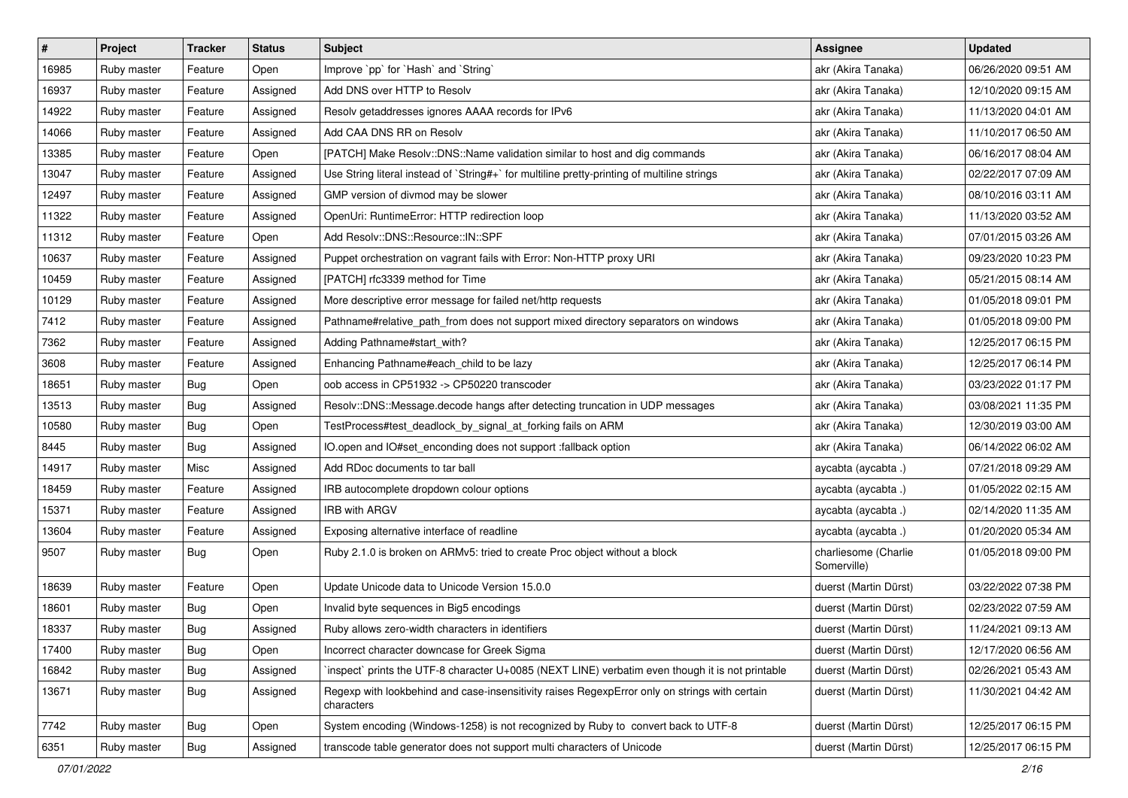| $\vert$ # | Project     | Tracker    | <b>Status</b> | <b>Subject</b>                                                                                              | <b>Assignee</b>                     | <b>Updated</b>      |
|-----------|-------------|------------|---------------|-------------------------------------------------------------------------------------------------------------|-------------------------------------|---------------------|
| 16985     | Ruby master | Feature    | Open          | Improve `pp` for `Hash` and `String`                                                                        | akr (Akira Tanaka)                  | 06/26/2020 09:51 AM |
| 16937     | Ruby master | Feature    | Assigned      | Add DNS over HTTP to Resolv                                                                                 | akr (Akira Tanaka)                  | 12/10/2020 09:15 AM |
| 14922     | Ruby master | Feature    | Assigned      | Resolv getaddresses ignores AAAA records for IPv6                                                           | akr (Akira Tanaka)                  | 11/13/2020 04:01 AM |
| 14066     | Ruby master | Feature    | Assigned      | Add CAA DNS RR on Resolv                                                                                    | akr (Akira Tanaka)                  | 11/10/2017 06:50 AM |
| 13385     | Ruby master | Feature    | Open          | [PATCH] Make Resolv::DNS::Name validation similar to host and dig commands                                  | akr (Akira Tanaka)                  | 06/16/2017 08:04 AM |
| 13047     | Ruby master | Feature    | Assigned      | Use String literal instead of `String#+` for multiline pretty-printing of multiline strings                 | akr (Akira Tanaka)                  | 02/22/2017 07:09 AM |
| 12497     | Ruby master | Feature    | Assigned      | GMP version of divmod may be slower                                                                         | akr (Akira Tanaka)                  | 08/10/2016 03:11 AM |
| 11322     | Ruby master | Feature    | Assigned      | OpenUri: RuntimeError: HTTP redirection loop                                                                | akr (Akira Tanaka)                  | 11/13/2020 03:52 AM |
| 11312     | Ruby master | Feature    | Open          | Add Resolv::DNS::Resource::IN::SPF                                                                          | akr (Akira Tanaka)                  | 07/01/2015 03:26 AM |
| 10637     | Ruby master | Feature    | Assigned      | Puppet orchestration on vagrant fails with Error: Non-HTTP proxy URI                                        | akr (Akira Tanaka)                  | 09/23/2020 10:23 PM |
| 10459     | Ruby master | Feature    | Assigned      | [PATCH] rfc3339 method for Time                                                                             | akr (Akira Tanaka)                  | 05/21/2015 08:14 AM |
| 10129     | Ruby master | Feature    | Assigned      | More descriptive error message for failed net/http requests                                                 | akr (Akira Tanaka)                  | 01/05/2018 09:01 PM |
| 7412      | Ruby master | Feature    | Assigned      | Pathname#relative_path_from does not support mixed directory separators on windows                          | akr (Akira Tanaka)                  | 01/05/2018 09:00 PM |
| 7362      | Ruby master | Feature    | Assigned      | Adding Pathname#start with?                                                                                 | akr (Akira Tanaka)                  | 12/25/2017 06:15 PM |
| 3608      | Ruby master | Feature    | Assigned      | Enhancing Pathname#each_child to be lazy                                                                    | akr (Akira Tanaka)                  | 12/25/2017 06:14 PM |
| 18651     | Ruby master | <b>Bug</b> | Open          | oob access in CP51932 -> CP50220 transcoder                                                                 | akr (Akira Tanaka)                  | 03/23/2022 01:17 PM |
| 13513     | Ruby master | <b>Bug</b> | Assigned      | Resolv::DNS::Message.decode hangs after detecting truncation in UDP messages                                | akr (Akira Tanaka)                  | 03/08/2021 11:35 PM |
| 10580     | Ruby master | <b>Bug</b> | Open          | TestProcess#test_deadlock_by_signal_at_forking fails on ARM                                                 | akr (Akira Tanaka)                  | 12/30/2019 03:00 AM |
| 8445      | Ruby master | <b>Bug</b> | Assigned      | IO.open and IO#set_enconding does not support :fallback option                                              | akr (Akira Tanaka)                  | 06/14/2022 06:02 AM |
| 14917     | Ruby master | Misc       | Assigned      | Add RDoc documents to tar ball                                                                              | aycabta (aycabta.)                  | 07/21/2018 09:29 AM |
| 18459     | Ruby master | Feature    | Assigned      | IRB autocomplete dropdown colour options                                                                    | aycabta (aycabta .)                 | 01/05/2022 02:15 AM |
| 15371     | Ruby master | Feature    | Assigned      | IRB with ARGV                                                                                               | aycabta (aycabta .)                 | 02/14/2020 11:35 AM |
| 13604     | Ruby master | Feature    | Assigned      | Exposing alternative interface of readline                                                                  | aycabta (aycabta.)                  | 01/20/2020 05:34 AM |
| 9507      | Ruby master | <b>Bug</b> | Open          | Ruby 2.1.0 is broken on ARMv5: tried to create Proc object without a block                                  | charliesome (Charlie<br>Somerville) | 01/05/2018 09:00 PM |
| 18639     | Ruby master | Feature    | Open          | Update Unicode data to Unicode Version 15.0.0                                                               | duerst (Martin Dürst)               | 03/22/2022 07:38 PM |
| 18601     | Ruby master | <b>Bug</b> | Open          | Invalid byte sequences in Big5 encodings                                                                    | duerst (Martin Dürst)               | 02/23/2022 07:59 AM |
| 18337     | Ruby master | <b>Bug</b> | Assigned      | Ruby allows zero-width characters in identifiers                                                            | duerst (Martin Dürst)               | 11/24/2021 09:13 AM |
| 17400     | Ruby master | <b>Bug</b> | Open          | Incorrect character downcase for Greek Sigma                                                                | duerst (Martin Dürst)               | 12/17/2020 06:56 AM |
| 16842     | Ruby master | Bug        | Assigned      | inspect` prints the UTF-8 character U+0085 (NEXT LINE) verbatim even though it is not printable             | duerst (Martin Dürst)               | 02/26/2021 05:43 AM |
| 13671     | Ruby master | <b>Bug</b> | Assigned      | Regexp with lookbehind and case-insensitivity raises RegexpError only on strings with certain<br>characters | duerst (Martin Dürst)               | 11/30/2021 04:42 AM |
| 7742      | Ruby master | Bug        | Open          | System encoding (Windows-1258) is not recognized by Ruby to convert back to UTF-8                           | duerst (Martin Dürst)               | 12/25/2017 06:15 PM |
| 6351      | Ruby master | Bug        | Assigned      | transcode table generator does not support multi characters of Unicode                                      | duerst (Martin Dürst)               | 12/25/2017 06:15 PM |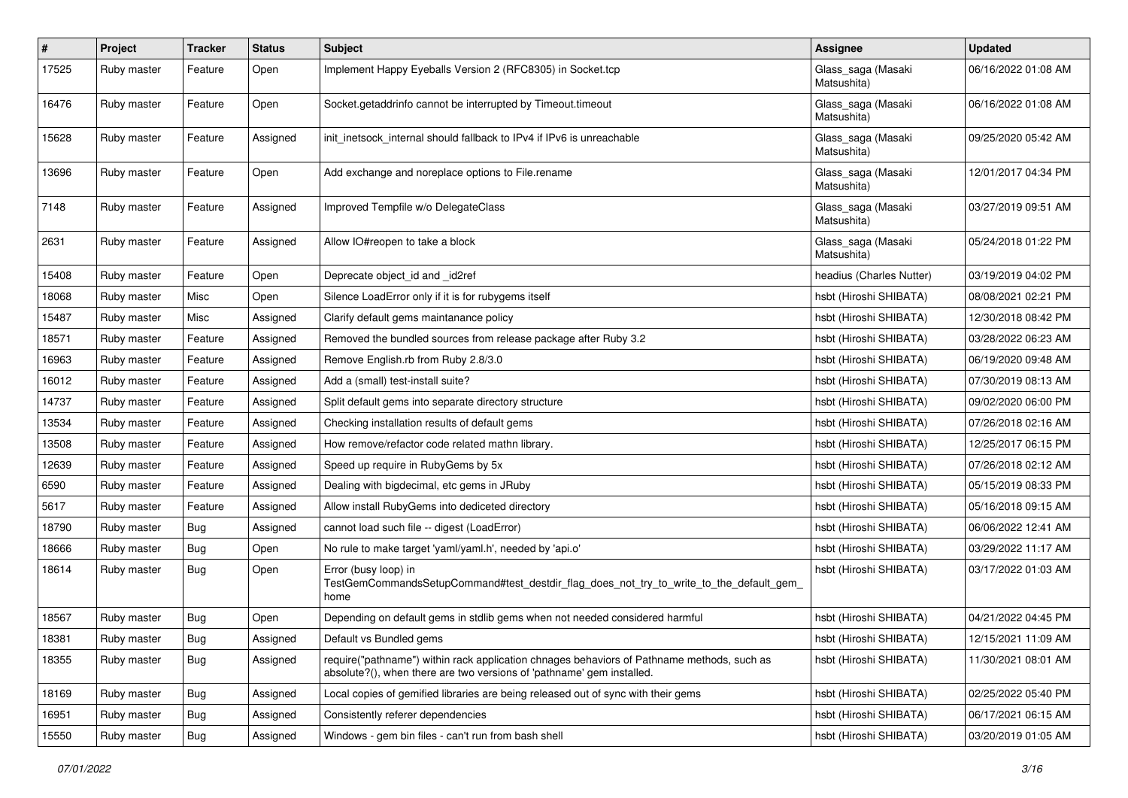| $\pmb{\#}$ | Project     | <b>Tracker</b> | <b>Status</b> | <b>Subject</b>                                                                                                                                                      | Assignee                          | <b>Updated</b>      |
|------------|-------------|----------------|---------------|---------------------------------------------------------------------------------------------------------------------------------------------------------------------|-----------------------------------|---------------------|
| 17525      | Ruby master | Feature        | Open          | Implement Happy Eyeballs Version 2 (RFC8305) in Socket.tcp                                                                                                          | Glass_saga (Masaki<br>Matsushita) | 06/16/2022 01:08 AM |
| 16476      | Ruby master | Feature        | Open          | Socket.getaddrinfo cannot be interrupted by Timeout.timeout                                                                                                         | Glass_saga (Masaki<br>Matsushita) | 06/16/2022 01:08 AM |
| 15628      | Ruby master | Feature        | Assigned      | init inetsock internal should fallback to IPv4 if IPv6 is unreachable                                                                                               | Glass_saga (Masaki<br>Matsushita) | 09/25/2020 05:42 AM |
| 13696      | Ruby master | Feature        | Open          | Add exchange and noreplace options to File.rename                                                                                                                   | Glass_saga (Masaki<br>Matsushita) | 12/01/2017 04:34 PM |
| 7148       | Ruby master | Feature        | Assigned      | Improved Tempfile w/o DelegateClass                                                                                                                                 | Glass_saga (Masaki<br>Matsushita) | 03/27/2019 09:51 AM |
| 2631       | Ruby master | Feature        | Assigned      | Allow IO#reopen to take a block                                                                                                                                     | Glass_saga (Masaki<br>Matsushita) | 05/24/2018 01:22 PM |
| 15408      | Ruby master | Feature        | Open          | Deprecate object_id and _id2ref                                                                                                                                     | headius (Charles Nutter)          | 03/19/2019 04:02 PM |
| 18068      | Ruby master | Misc           | Open          | Silence LoadError only if it is for rubygems itself                                                                                                                 | hsbt (Hiroshi SHIBATA)            | 08/08/2021 02:21 PM |
| 15487      | Ruby master | Misc           | Assigned      | Clarify default gems maintanance policy                                                                                                                             | hsbt (Hiroshi SHIBATA)            | 12/30/2018 08:42 PM |
| 18571      | Ruby master | Feature        | Assigned      | Removed the bundled sources from release package after Ruby 3.2                                                                                                     | hsbt (Hiroshi SHIBATA)            | 03/28/2022 06:23 AM |
| 16963      | Ruby master | Feature        | Assigned      | Remove English.rb from Ruby 2.8/3.0                                                                                                                                 | hsbt (Hiroshi SHIBATA)            | 06/19/2020 09:48 AM |
| 16012      | Ruby master | Feature        | Assigned      | Add a (small) test-install suite?                                                                                                                                   | hsbt (Hiroshi SHIBATA)            | 07/30/2019 08:13 AM |
| 14737      | Ruby master | Feature        | Assigned      | Split default gems into separate directory structure                                                                                                                | hsbt (Hiroshi SHIBATA)            | 09/02/2020 06:00 PM |
| 13534      | Ruby master | Feature        | Assigned      | Checking installation results of default gems                                                                                                                       | hsbt (Hiroshi SHIBATA)            | 07/26/2018 02:16 AM |
| 13508      | Ruby master | Feature        | Assigned      | How remove/refactor code related mathn library.                                                                                                                     | hsbt (Hiroshi SHIBATA)            | 12/25/2017 06:15 PM |
| 12639      | Ruby master | Feature        | Assigned      | Speed up require in RubyGems by 5x                                                                                                                                  | hsbt (Hiroshi SHIBATA)            | 07/26/2018 02:12 AM |
| 6590       | Ruby master | Feature        | Assigned      | Dealing with bigdecimal, etc gems in JRuby                                                                                                                          | hsbt (Hiroshi SHIBATA)            | 05/15/2019 08:33 PM |
| 5617       | Ruby master | Feature        | Assigned      | Allow install RubyGems into dediceted directory                                                                                                                     | hsbt (Hiroshi SHIBATA)            | 05/16/2018 09:15 AM |
| 18790      | Ruby master | <b>Bug</b>     | Assigned      | cannot load such file -- digest (LoadError)                                                                                                                         | hsbt (Hiroshi SHIBATA)            | 06/06/2022 12:41 AM |
| 18666      | Ruby master | Bug            | Open          | No rule to make target 'yaml/yaml.h', needed by 'api.o'                                                                                                             | hsbt (Hiroshi SHIBATA)            | 03/29/2022 11:17 AM |
| 18614      | Ruby master | <b>Bug</b>     | Open          | Error (busy loop) in<br>TestGemCommandsSetupCommand#test_destdir_flag_does_not_try_to_write_to_the_default_gem<br>home                                              | hsbt (Hiroshi SHIBATA)            | 03/17/2022 01:03 AM |
| 18567      | Ruby master | <b>Bug</b>     | Open          | Depending on default gems in stdlib gems when not needed considered harmful                                                                                         | hsbt (Hiroshi SHIBATA)            | 04/21/2022 04:45 PM |
| 18381      | Ruby master | <b>Bug</b>     | Assigned      | Default vs Bundled gems                                                                                                                                             | hsbt (Hiroshi SHIBATA)            | 12/15/2021 11:09 AM |
| 18355      | Ruby master | Bug            | Assigned      | require("pathname") within rack application chnages behaviors of Pathname methods, such as<br>absolute?(), when there are two versions of 'pathname' gem installed. | hsbt (Hiroshi SHIBATA)            | 11/30/2021 08:01 AM |
| 18169      | Ruby master | <b>Bug</b>     | Assigned      | Local copies of gemified libraries are being released out of sync with their gems                                                                                   | hsbt (Hiroshi SHIBATA)            | 02/25/2022 05:40 PM |
| 16951      | Ruby master | <b>Bug</b>     | Assigned      | Consistently referer dependencies                                                                                                                                   | hsbt (Hiroshi SHIBATA)            | 06/17/2021 06:15 AM |
| 15550      | Ruby master | <b>Bug</b>     | Assigned      | Windows - gem bin files - can't run from bash shell                                                                                                                 | hsbt (Hiroshi SHIBATA)            | 03/20/2019 01:05 AM |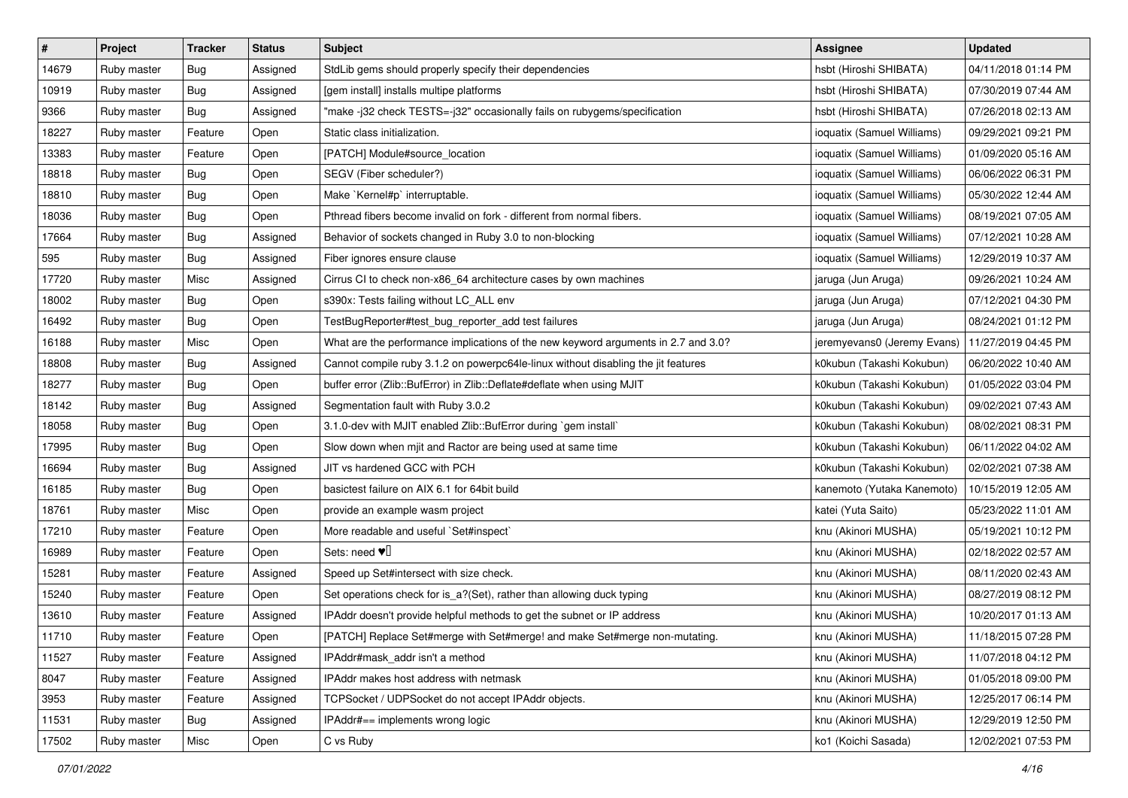| $\pmb{\#}$ | Project     | <b>Tracker</b> | <b>Status</b> | <b>Subject</b>                                                                     | Assignee                    | <b>Updated</b>      |
|------------|-------------|----------------|---------------|------------------------------------------------------------------------------------|-----------------------------|---------------------|
| 14679      | Ruby master | <b>Bug</b>     | Assigned      | StdLib gems should properly specify their dependencies                             | hsbt (Hiroshi SHIBATA)      | 04/11/2018 01:14 PM |
| 10919      | Ruby master | Bug            | Assigned      | [gem install] installs multipe platforms                                           | hsbt (Hiroshi SHIBATA)      | 07/30/2019 07:44 AM |
| 9366       | Ruby master | <b>Bug</b>     | Assigned      | "make -j32 check TESTS=-j32" occasionally fails on rubygems/specification          | hsbt (Hiroshi SHIBATA)      | 07/26/2018 02:13 AM |
| 18227      | Ruby master | Feature        | Open          | Static class initialization.                                                       | ioquatix (Samuel Williams)  | 09/29/2021 09:21 PM |
| 13383      | Ruby master | Feature        | Open          | [PATCH] Module#source_location                                                     | ioquatix (Samuel Williams)  | 01/09/2020 05:16 AM |
| 18818      | Ruby master | <b>Bug</b>     | Open          | SEGV (Fiber scheduler?)                                                            | ioquatix (Samuel Williams)  | 06/06/2022 06:31 PM |
| 18810      | Ruby master | Bug            | Open          | Make `Kernel#p` interruptable.                                                     | ioquatix (Samuel Williams)  | 05/30/2022 12:44 AM |
| 18036      | Ruby master | <b>Bug</b>     | Open          | Pthread fibers become invalid on fork - different from normal fibers.              | ioquatix (Samuel Williams)  | 08/19/2021 07:05 AM |
| 17664      | Ruby master | <b>Bug</b>     | Assigned      | Behavior of sockets changed in Ruby 3.0 to non-blocking                            | ioquatix (Samuel Williams)  | 07/12/2021 10:28 AM |
| 595        | Ruby master | <b>Bug</b>     | Assigned      | Fiber ignores ensure clause                                                        | ioquatix (Samuel Williams)  | 12/29/2019 10:37 AM |
| 17720      | Ruby master | Misc           | Assigned      | Cirrus CI to check non-x86_64 architecture cases by own machines                   | jaruga (Jun Aruga)          | 09/26/2021 10:24 AM |
| 18002      | Ruby master | <b>Bug</b>     | Open          | s390x: Tests failing without LC_ALL env                                            | jaruga (Jun Aruga)          | 07/12/2021 04:30 PM |
| 16492      | Ruby master | <b>Bug</b>     | Open          | TestBugReporter#test_bug_reporter_add test failures                                | jaruga (Jun Aruga)          | 08/24/2021 01:12 PM |
| 16188      | Ruby master | Misc           | Open          | What are the performance implications of the new keyword arguments in 2.7 and 3.0? | jeremyevans0 (Jeremy Evans) | 11/27/2019 04:45 PM |
| 18808      | Ruby master | <b>Bug</b>     | Assigned      | Cannot compile ruby 3.1.2 on powerpc64le-linux without disabling the jit features  | k0kubun (Takashi Kokubun)   | 06/20/2022 10:40 AM |
| 18277      | Ruby master | Bug            | Open          | buffer error (Zlib::BufError) in Zlib::Deflate#deflate when using MJIT             | k0kubun (Takashi Kokubun)   | 01/05/2022 03:04 PM |
| 18142      | Ruby master | <b>Bug</b>     | Assigned      | Segmentation fault with Ruby 3.0.2                                                 | k0kubun (Takashi Kokubun)   | 09/02/2021 07:43 AM |
| 18058      | Ruby master | <b>Bug</b>     | Open          | 3.1.0-dev with MJIT enabled Zlib::BufError during `gem install`                    | k0kubun (Takashi Kokubun)   | 08/02/2021 08:31 PM |
| 17995      | Ruby master | <b>Bug</b>     | Open          | Slow down when mjit and Ractor are being used at same time                         | k0kubun (Takashi Kokubun)   | 06/11/2022 04:02 AM |
| 16694      | Ruby master | <b>Bug</b>     | Assigned      | JIT vs hardened GCC with PCH                                                       | k0kubun (Takashi Kokubun)   | 02/02/2021 07:38 AM |
| 16185      | Ruby master | Bug            | Open          | basictest failure on AIX 6.1 for 64bit build                                       | kanemoto (Yutaka Kanemoto)  | 10/15/2019 12:05 AM |
| 18761      | Ruby master | Misc           | Open          | provide an example wasm project                                                    | katei (Yuta Saito)          | 05/23/2022 11:01 AM |
| 17210      | Ruby master | Feature        | Open          | More readable and useful `Set#inspect`                                             | knu (Akinori MUSHA)         | 05/19/2021 10:12 PM |
| 16989      | Ruby master | Feature        | Open          | Sets: need $\Psi$                                                                  | knu (Akinori MUSHA)         | 02/18/2022 02:57 AM |
| 15281      | Ruby master | Feature        | Assigned      | Speed up Set#intersect with size check.                                            | knu (Akinori MUSHA)         | 08/11/2020 02:43 AM |
| 15240      | Ruby master | Feature        | Open          | Set operations check for is_a?(Set), rather than allowing duck typing              | knu (Akinori MUSHA)         | 08/27/2019 08:12 PM |
| 13610      | Ruby master | Feature        | Assigned      | IPAddr doesn't provide helpful methods to get the subnet or IP address             | knu (Akinori MUSHA)         | 10/20/2017 01:13 AM |
| 11710      | Ruby master | Feature        | Open          | [PATCH] Replace Set#merge with Set#merge! and make Set#merge non-mutating.         | knu (Akinori MUSHA)         | 11/18/2015 07:28 PM |
| 11527      | Ruby master | Feature        | Assigned      | IPAddr#mask addr isn't a method                                                    | knu (Akinori MUSHA)         | 11/07/2018 04:12 PM |
| 8047       | Ruby master | Feature        | Assigned      | IPAddr makes host address with netmask                                             | knu (Akinori MUSHA)         | 01/05/2018 09:00 PM |
| 3953       | Ruby master | Feature        | Assigned      | TCPSocket / UDPSocket do not accept IPAddr objects.                                | knu (Akinori MUSHA)         | 12/25/2017 06:14 PM |
| 11531      | Ruby master | <b>Bug</b>     | Assigned      | IPAddr#== implements wrong logic                                                   | knu (Akinori MUSHA)         | 12/29/2019 12:50 PM |
| 17502      | Ruby master | Misc           | Open          | C vs Ruby                                                                          | ko1 (Koichi Sasada)         | 12/02/2021 07:53 PM |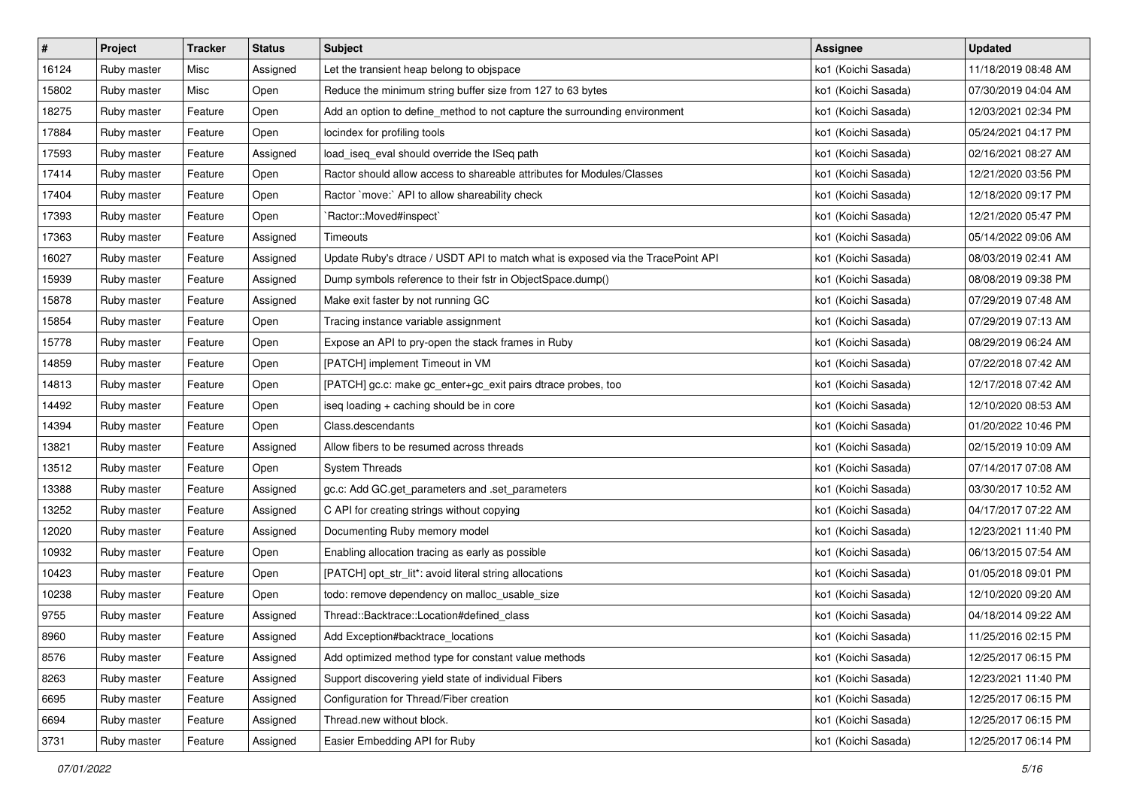| $\vert$ # | Project     | <b>Tracker</b> | <b>Status</b> | <b>Subject</b>                                                                  | Assignee            | <b>Updated</b>      |
|-----------|-------------|----------------|---------------|---------------------------------------------------------------------------------|---------------------|---------------------|
| 16124     | Ruby master | Misc           | Assigned      | Let the transient heap belong to objspace                                       | ko1 (Koichi Sasada) | 11/18/2019 08:48 AM |
| 15802     | Ruby master | Misc           | Open          | Reduce the minimum string buffer size from 127 to 63 bytes                      | ko1 (Koichi Sasada) | 07/30/2019 04:04 AM |
| 18275     | Ruby master | Feature        | Open          | Add an option to define_method to not capture the surrounding environment       | ko1 (Koichi Sasada) | 12/03/2021 02:34 PM |
| 17884     | Ruby master | Feature        | Open          | locindex for profiling tools                                                    | ko1 (Koichi Sasada) | 05/24/2021 04:17 PM |
| 17593     | Ruby master | Feature        | Assigned      | load_iseq_eval should override the ISeq path                                    | ko1 (Koichi Sasada) | 02/16/2021 08:27 AM |
| 17414     | Ruby master | Feature        | Open          | Ractor should allow access to shareable attributes for Modules/Classes          | ko1 (Koichi Sasada) | 12/21/2020 03:56 PM |
| 17404     | Ruby master | Feature        | Open          | Ractor `move:` API to allow shareability check                                  | ko1 (Koichi Sasada) | 12/18/2020 09:17 PM |
| 17393     | Ruby master | Feature        | Open          | Ractor::Moved#inspect`                                                          | ko1 (Koichi Sasada) | 12/21/2020 05:47 PM |
| 17363     | Ruby master | Feature        | Assigned      | Timeouts                                                                        | ko1 (Koichi Sasada) | 05/14/2022 09:06 AM |
| 16027     | Ruby master | Feature        | Assigned      | Update Ruby's dtrace / USDT API to match what is exposed via the TracePoint API | ko1 (Koichi Sasada) | 08/03/2019 02:41 AM |
| 15939     | Ruby master | Feature        | Assigned      | Dump symbols reference to their fstr in ObjectSpace.dump()                      | ko1 (Koichi Sasada) | 08/08/2019 09:38 PM |
| 15878     | Ruby master | Feature        | Assigned      | Make exit faster by not running GC                                              | ko1 (Koichi Sasada) | 07/29/2019 07:48 AM |
| 15854     | Ruby master | Feature        | Open          | Tracing instance variable assignment                                            | ko1 (Koichi Sasada) | 07/29/2019 07:13 AM |
| 15778     | Ruby master | Feature        | Open          | Expose an API to pry-open the stack frames in Ruby                              | ko1 (Koichi Sasada) | 08/29/2019 06:24 AM |
| 14859     | Ruby master | Feature        | Open          | [PATCH] implement Timeout in VM                                                 | ko1 (Koichi Sasada) | 07/22/2018 07:42 AM |
| 14813     | Ruby master | Feature        | Open          | [PATCH] gc.c: make gc_enter+gc_exit pairs dtrace probes, too                    | ko1 (Koichi Sasada) | 12/17/2018 07:42 AM |
| 14492     | Ruby master | Feature        | Open          | iseq loading + caching should be in core                                        | ko1 (Koichi Sasada) | 12/10/2020 08:53 AM |
| 14394     | Ruby master | Feature        | Open          | Class.descendants                                                               | ko1 (Koichi Sasada) | 01/20/2022 10:46 PM |
| 13821     | Ruby master | Feature        | Assigned      | Allow fibers to be resumed across threads                                       | ko1 (Koichi Sasada) | 02/15/2019 10:09 AM |
| 13512     | Ruby master | Feature        | Open          | <b>System Threads</b>                                                           | ko1 (Koichi Sasada) | 07/14/2017 07:08 AM |
| 13388     | Ruby master | Feature        | Assigned      | gc.c: Add GC.get_parameters and .set_parameters                                 | ko1 (Koichi Sasada) | 03/30/2017 10:52 AM |
| 13252     | Ruby master | Feature        | Assigned      | C API for creating strings without copying                                      | ko1 (Koichi Sasada) | 04/17/2017 07:22 AM |
| 12020     | Ruby master | Feature        | Assigned      | Documenting Ruby memory model                                                   | ko1 (Koichi Sasada) | 12/23/2021 11:40 PM |
| 10932     | Ruby master | Feature        | Open          | Enabling allocation tracing as early as possible                                | ko1 (Koichi Sasada) | 06/13/2015 07:54 AM |
| 10423     | Ruby master | Feature        | Open          | [PATCH] opt_str_lit*: avoid literal string allocations                          | ko1 (Koichi Sasada) | 01/05/2018 09:01 PM |
| 10238     | Ruby master | Feature        | Open          | todo: remove dependency on malloc_usable_size                                   | ko1 (Koichi Sasada) | 12/10/2020 09:20 AM |
| 9755      | Ruby master | Feature        | Assigned      | Thread::Backtrace::Location#defined class                                       | ko1 (Koichi Sasada) | 04/18/2014 09:22 AM |
| 8960      | Ruby master | Feature        | Assigned      | Add Exception#backtrace_locations                                               | ko1 (Koichi Sasada) | 11/25/2016 02:15 PM |
| 8576      | Ruby master | Feature        | Assigned      | Add optimized method type for constant value methods                            | ko1 (Koichi Sasada) | 12/25/2017 06:15 PM |
| 8263      | Ruby master | Feature        | Assigned      | Support discovering yield state of individual Fibers                            | ko1 (Koichi Sasada) | 12/23/2021 11:40 PM |
| 6695      | Ruby master | Feature        | Assigned      | Configuration for Thread/Fiber creation                                         | ko1 (Koichi Sasada) | 12/25/2017 06:15 PM |
| 6694      | Ruby master | Feature        | Assigned      | Thread.new without block.                                                       | ko1 (Koichi Sasada) | 12/25/2017 06:15 PM |
| 3731      | Ruby master | Feature        | Assigned      | Easier Embedding API for Ruby                                                   | ko1 (Koichi Sasada) | 12/25/2017 06:14 PM |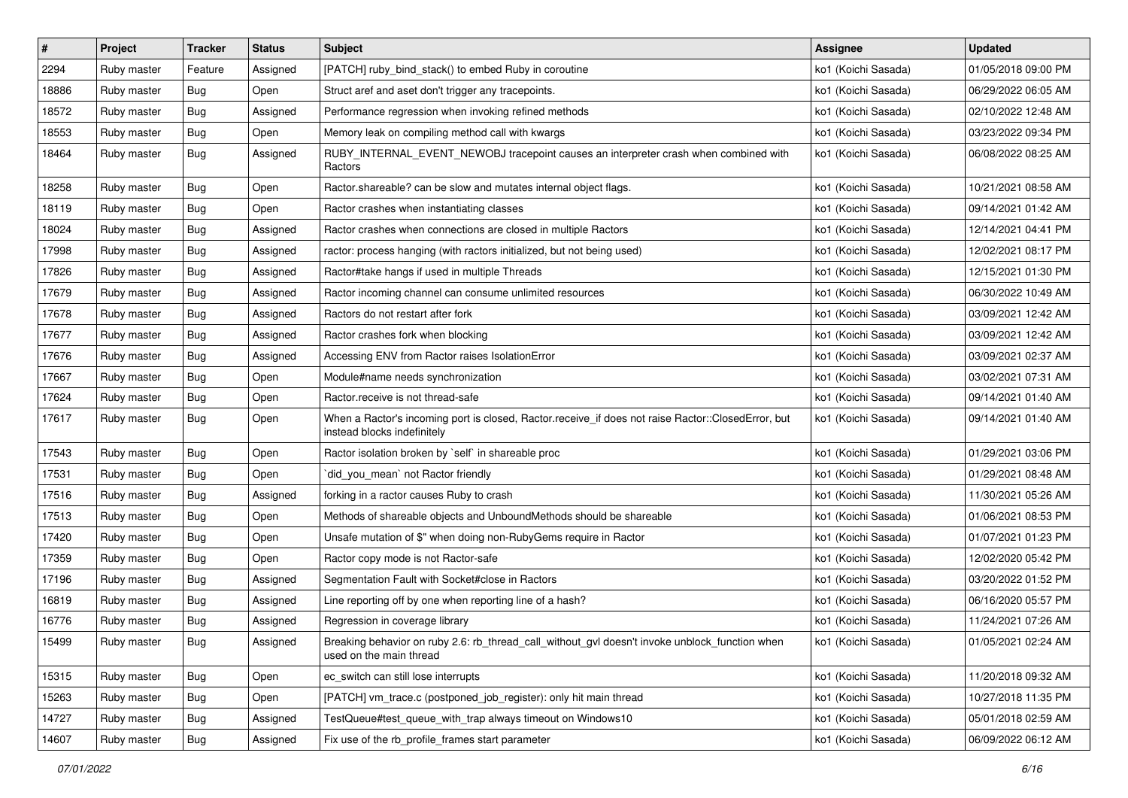| $\vert$ # | Project     | <b>Tracker</b> | <b>Status</b> | Subject                                                                                                                           | Assignee            | <b>Updated</b>      |
|-----------|-------------|----------------|---------------|-----------------------------------------------------------------------------------------------------------------------------------|---------------------|---------------------|
| 2294      | Ruby master | Feature        | Assigned      | [PATCH] ruby_bind_stack() to embed Ruby in coroutine                                                                              | ko1 (Koichi Sasada) | 01/05/2018 09:00 PM |
| 18886     | Ruby master | <b>Bug</b>     | Open          | Struct aref and aset don't trigger any tracepoints.                                                                               | ko1 (Koichi Sasada) | 06/29/2022 06:05 AM |
| 18572     | Ruby master | Bug            | Assigned      | Performance regression when invoking refined methods                                                                              | ko1 (Koichi Sasada) | 02/10/2022 12:48 AM |
| 18553     | Ruby master | Bug            | Open          | Memory leak on compiling method call with kwargs                                                                                  | ko1 (Koichi Sasada) | 03/23/2022 09:34 PM |
| 18464     | Ruby master | Bug            | Assigned      | RUBY_INTERNAL_EVENT_NEWOBJ tracepoint causes an interpreter crash when combined with<br>Ractors                                   | ko1 (Koichi Sasada) | 06/08/2022 08:25 AM |
| 18258     | Ruby master | <b>Bug</b>     | Open          | Ractor shareable? can be slow and mutates internal object flags.                                                                  | ko1 (Koichi Sasada) | 10/21/2021 08:58 AM |
| 18119     | Ruby master | <b>Bug</b>     | Open          | Ractor crashes when instantiating classes                                                                                         | ko1 (Koichi Sasada) | 09/14/2021 01:42 AM |
| 18024     | Ruby master | Bug            | Assigned      | Ractor crashes when connections are closed in multiple Ractors                                                                    | ko1 (Koichi Sasada) | 12/14/2021 04:41 PM |
| 17998     | Ruby master | <b>Bug</b>     | Assigned      | ractor: process hanging (with ractors initialized, but not being used)                                                            | ko1 (Koichi Sasada) | 12/02/2021 08:17 PM |
| 17826     | Ruby master | Bug            | Assigned      | Ractor#take hangs if used in multiple Threads                                                                                     | ko1 (Koichi Sasada) | 12/15/2021 01:30 PM |
| 17679     | Ruby master | Bug            | Assigned      | Ractor incoming channel can consume unlimited resources                                                                           | ko1 (Koichi Sasada) | 06/30/2022 10:49 AM |
| 17678     | Ruby master | Bug            | Assigned      | Ractors do not restart after fork                                                                                                 | ko1 (Koichi Sasada) | 03/09/2021 12:42 AM |
| 17677     | Ruby master | Bug            | Assigned      | Ractor crashes fork when blocking                                                                                                 | ko1 (Koichi Sasada) | 03/09/2021 12:42 AM |
| 17676     | Ruby master | <b>Bug</b>     | Assigned      | Accessing ENV from Ractor raises IsolationError                                                                                   | ko1 (Koichi Sasada) | 03/09/2021 02:37 AM |
| 17667     | Ruby master | <b>Bug</b>     | Open          | Module#name needs synchronization                                                                                                 | ko1 (Koichi Sasada) | 03/02/2021 07:31 AM |
| 17624     | Ruby master | Bug            | Open          | Ractor.receive is not thread-safe                                                                                                 | ko1 (Koichi Sasada) | 09/14/2021 01:40 AM |
| 17617     | Ruby master | <b>Bug</b>     | Open          | When a Ractor's incoming port is closed, Ractor.receive_if does not raise Ractor::ClosedError, but<br>instead blocks indefinitely | ko1 (Koichi Sasada) | 09/14/2021 01:40 AM |
| 17543     | Ruby master | Bug            | Open          | Ractor isolation broken by `self` in shareable proc                                                                               | ko1 (Koichi Sasada) | 01/29/2021 03:06 PM |
| 17531     | Ruby master | <b>Bug</b>     | Open          | did_you_mean' not Ractor friendly                                                                                                 | ko1 (Koichi Sasada) | 01/29/2021 08:48 AM |
| 17516     | Ruby master | Bug            | Assigned      | forking in a ractor causes Ruby to crash                                                                                          | ko1 (Koichi Sasada) | 11/30/2021 05:26 AM |
| 17513     | Ruby master | <b>Bug</b>     | Open          | Methods of shareable objects and UnboundMethods should be shareable                                                               | ko1 (Koichi Sasada) | 01/06/2021 08:53 PM |
| 17420     | Ruby master | Bug            | Open          | Unsafe mutation of \$" when doing non-RubyGems require in Ractor                                                                  | ko1 (Koichi Sasada) | 01/07/2021 01:23 PM |
| 17359     | Ruby master | Bug            | Open          | Ractor copy mode is not Ractor-safe                                                                                               | ko1 (Koichi Sasada) | 12/02/2020 05:42 PM |
| 17196     | Ruby master | <b>Bug</b>     | Assigned      | Segmentation Fault with Socket#close in Ractors                                                                                   | ko1 (Koichi Sasada) | 03/20/2022 01:52 PM |
| 16819     | Ruby master | Bug            | Assigned      | Line reporting off by one when reporting line of a hash?                                                                          | ko1 (Koichi Sasada) | 06/16/2020 05:57 PM |
| 16776     | Ruby master | Bug            | Assigned      | Regression in coverage library                                                                                                    | ko1 (Koichi Sasada) | 11/24/2021 07:26 AM |
| 15499     | Ruby master | <b>Bug</b>     | Assigned      | Breaking behavior on ruby 2.6: rb_thread_call_without_gvl doesn't invoke unblock_function when<br>used on the main thread         | ko1 (Koichi Sasada) | 01/05/2021 02:24 AM |
| 15315     | Ruby master | <b>Bug</b>     | Open          | ec_switch can still lose interrupts                                                                                               | ko1 (Koichi Sasada) | 11/20/2018 09:32 AM |
| 15263     | Ruby master | <b>Bug</b>     | Open          | [PATCH] vm_trace.c (postponed_job_register): only hit main thread                                                                 | ko1 (Koichi Sasada) | 10/27/2018 11:35 PM |
| 14727     | Ruby master | <b>Bug</b>     | Assigned      | TestQueue#test queue with trap always timeout on Windows10                                                                        | ko1 (Koichi Sasada) | 05/01/2018 02:59 AM |
| 14607     | Ruby master | <b>Bug</b>     | Assigned      | Fix use of the rb_profile_frames start parameter                                                                                  | ko1 (Koichi Sasada) | 06/09/2022 06:12 AM |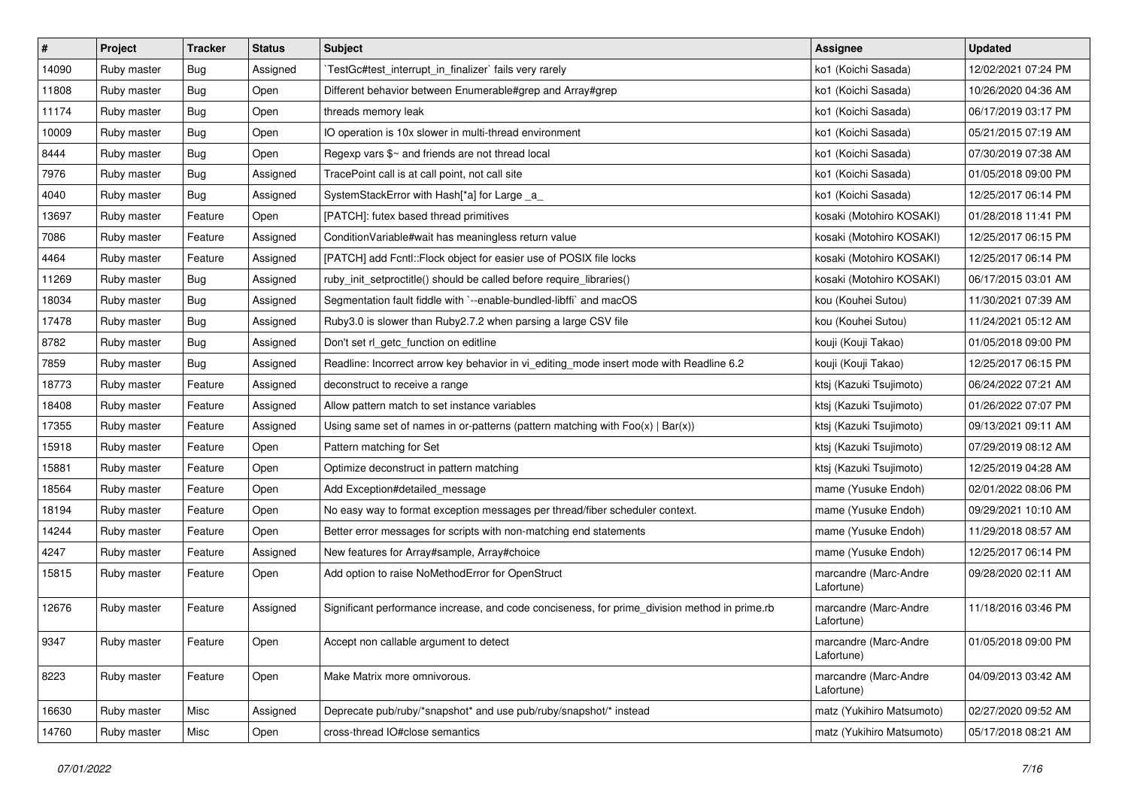| $\vert$ # | Project     | <b>Tracker</b> | <b>Status</b> | <b>Subject</b>                                                                                | Assignee                            | <b>Updated</b>      |
|-----------|-------------|----------------|---------------|-----------------------------------------------------------------------------------------------|-------------------------------------|---------------------|
| 14090     | Ruby master | <b>Bug</b>     | Assigned      | TestGc#test_interrupt_in_finalizer` fails very rarely                                         | ko1 (Koichi Sasada)                 | 12/02/2021 07:24 PM |
| 11808     | Ruby master | Bug            | Open          | Different behavior between Enumerable#grep and Array#grep                                     | ko1 (Koichi Sasada)                 | 10/26/2020 04:36 AM |
| 11174     | Ruby master | Bug            | Open          | threads memory leak                                                                           | ko1 (Koichi Sasada)                 | 06/17/2019 03:17 PM |
| 10009     | Ruby master | <b>Bug</b>     | Open          | IO operation is 10x slower in multi-thread environment                                        | ko1 (Koichi Sasada)                 | 05/21/2015 07:19 AM |
| 8444      | Ruby master | <b>Bug</b>     | Open          | Regexp vars \$~ and friends are not thread local                                              | ko1 (Koichi Sasada)                 | 07/30/2019 07:38 AM |
| 7976      | Ruby master | <b>Bug</b>     | Assigned      | TracePoint call is at call point, not call site                                               | ko1 (Koichi Sasada)                 | 01/05/2018 09:00 PM |
| 4040      | Ruby master | <b>Bug</b>     | Assigned      | SystemStackError with Hash[*a] for Large _a_                                                  | ko1 (Koichi Sasada)                 | 12/25/2017 06:14 PM |
| 13697     | Ruby master | Feature        | Open          | [PATCH]: futex based thread primitives                                                        | kosaki (Motohiro KOSAKI)            | 01/28/2018 11:41 PM |
| 7086      | Ruby master | Feature        | Assigned      | Condition Variable#wait has meaningless return value                                          | kosaki (Motohiro KOSAKI)            | 12/25/2017 06:15 PM |
| 4464      | Ruby master | Feature        | Assigned      | [PATCH] add Fcntl::Flock object for easier use of POSIX file locks                            | kosaki (Motohiro KOSAKI)            | 12/25/2017 06:14 PM |
| 11269     | Ruby master | Bug            | Assigned      | ruby_init_setproctitle() should be called before require_libraries()                          | kosaki (Motohiro KOSAKI)            | 06/17/2015 03:01 AM |
| 18034     | Ruby master | <b>Bug</b>     | Assigned      | Segmentation fault fiddle with `--enable-bundled-libffi` and macOS                            | kou (Kouhei Sutou)                  | 11/30/2021 07:39 AM |
| 17478     | Ruby master | Bug            | Assigned      | Ruby3.0 is slower than Ruby2.7.2 when parsing a large CSV file                                | kou (Kouhei Sutou)                  | 11/24/2021 05:12 AM |
| 8782      | Ruby master | <b>Bug</b>     | Assigned      | Don't set rl_getc_function on editline                                                        | kouji (Kouji Takao)                 | 01/05/2018 09:00 PM |
| 7859      | Ruby master | Bug            | Assigned      | Readline: Incorrect arrow key behavior in vi_editing_mode insert mode with Readline 6.2       | kouji (Kouji Takao)                 | 12/25/2017 06:15 PM |
| 18773     | Ruby master | Feature        | Assigned      | deconstruct to receive a range                                                                | ktsj (Kazuki Tsujimoto)             | 06/24/2022 07:21 AM |
| 18408     | Ruby master | Feature        | Assigned      | Allow pattern match to set instance variables                                                 | ktsj (Kazuki Tsujimoto)             | 01/26/2022 07:07 PM |
| 17355     | Ruby master | Feature        | Assigned      | Using same set of names in or-patterns (pattern matching with $Foo(x)   Bar(x)$ )             | ktsj (Kazuki Tsujimoto)             | 09/13/2021 09:11 AM |
| 15918     | Ruby master | Feature        | Open          | Pattern matching for Set                                                                      | ktsj (Kazuki Tsujimoto)             | 07/29/2019 08:12 AM |
| 15881     | Ruby master | Feature        | Open          | Optimize deconstruct in pattern matching                                                      | ktsj (Kazuki Tsujimoto)             | 12/25/2019 04:28 AM |
| 18564     | Ruby master | Feature        | Open          | Add Exception#detailed message                                                                | mame (Yusuke Endoh)                 | 02/01/2022 08:06 PM |
| 18194     | Ruby master | Feature        | Open          | No easy way to format exception messages per thread/fiber scheduler context.                  | mame (Yusuke Endoh)                 | 09/29/2021 10:10 AM |
| 14244     | Ruby master | Feature        | Open          | Better error messages for scripts with non-matching end statements                            | mame (Yusuke Endoh)                 | 11/29/2018 08:57 AM |
| 4247      | Ruby master | Feature        | Assigned      | New features for Array#sample, Array#choice                                                   | mame (Yusuke Endoh)                 | 12/25/2017 06:14 PM |
| 15815     | Ruby master | Feature        | Open          | Add option to raise NoMethodError for OpenStruct                                              | marcandre (Marc-Andre<br>Lafortune) | 09/28/2020 02:11 AM |
| 12676     | Ruby master | Feature        | Assigned      | Significant performance increase, and code conciseness, for prime_division method in prime.rb | marcandre (Marc-Andre<br>Lafortune) | 11/18/2016 03:46 PM |
| 9347      | Ruby master | Feature        | Open          | Accept non callable argument to detect                                                        | marcandre (Marc-Andre<br>Lafortune) | 01/05/2018 09:00 PM |
| 8223      | Ruby master | Feature        | Open          | Make Matrix more omnivorous.                                                                  | marcandre (Marc-Andre<br>Lafortune) | 04/09/2013 03:42 AM |
| 16630     | Ruby master | Misc           | Assigned      | Deprecate pub/ruby/*snapshot* and use pub/ruby/snapshot/* instead                             | matz (Yukihiro Matsumoto)           | 02/27/2020 09:52 AM |
| 14760     | Ruby master | Misc           | Open          | cross-thread IO#close semantics                                                               | matz (Yukihiro Matsumoto)           | 05/17/2018 08:21 AM |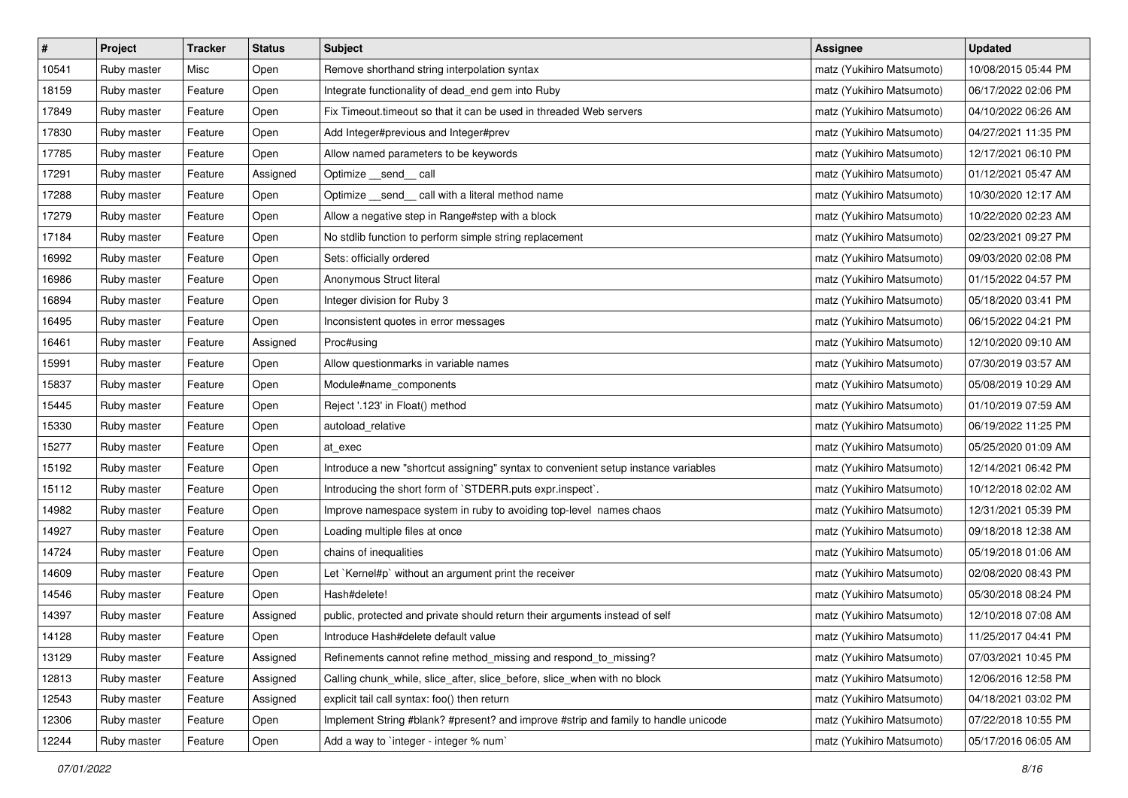| $\sharp$ | Project     | Tracker | <b>Status</b> | <b>Subject</b>                                                                     | <b>Assignee</b>           | <b>Updated</b>      |
|----------|-------------|---------|---------------|------------------------------------------------------------------------------------|---------------------------|---------------------|
| 10541    | Ruby master | Misc    | Open          | Remove shorthand string interpolation syntax                                       | matz (Yukihiro Matsumoto) | 10/08/2015 05:44 PM |
| 18159    | Ruby master | Feature | Open          | Integrate functionality of dead_end gem into Ruby                                  | matz (Yukihiro Matsumoto) | 06/17/2022 02:06 PM |
| 17849    | Ruby master | Feature | Open          | Fix Timeout.timeout so that it can be used in threaded Web servers                 | matz (Yukihiro Matsumoto) | 04/10/2022 06:26 AM |
| 17830    | Ruby master | Feature | Open          | Add Integer#previous and Integer#prev                                              | matz (Yukihiro Matsumoto) | 04/27/2021 11:35 PM |
| 17785    | Ruby master | Feature | Open          | Allow named parameters to be keywords                                              | matz (Yukihiro Matsumoto) | 12/17/2021 06:10 PM |
| 17291    | Ruby master | Feature | Assigned      | Optimize __send__ call                                                             | matz (Yukihiro Matsumoto) | 01/12/2021 05:47 AM |
| 17288    | Ruby master | Feature | Open          | Optimize _send_ call with a literal method name                                    | matz (Yukihiro Matsumoto) | 10/30/2020 12:17 AM |
| 17279    | Ruby master | Feature | Open          | Allow a negative step in Range#step with a block                                   | matz (Yukihiro Matsumoto) | 10/22/2020 02:23 AM |
| 17184    | Ruby master | Feature | Open          | No stdlib function to perform simple string replacement                            | matz (Yukihiro Matsumoto) | 02/23/2021 09:27 PM |
| 16992    | Ruby master | Feature | Open          | Sets: officially ordered                                                           | matz (Yukihiro Matsumoto) | 09/03/2020 02:08 PM |
| 16986    | Ruby master | Feature | Open          | Anonymous Struct literal                                                           | matz (Yukihiro Matsumoto) | 01/15/2022 04:57 PM |
| 16894    | Ruby master | Feature | Open          | Integer division for Ruby 3                                                        | matz (Yukihiro Matsumoto) | 05/18/2020 03:41 PM |
| 16495    | Ruby master | Feature | Open          | Inconsistent quotes in error messages                                              | matz (Yukihiro Matsumoto) | 06/15/2022 04:21 PM |
| 16461    | Ruby master | Feature | Assigned      | Proc#using                                                                         | matz (Yukihiro Matsumoto) | 12/10/2020 09:10 AM |
| 15991    | Ruby master | Feature | Open          | Allow questionmarks in variable names                                              | matz (Yukihiro Matsumoto) | 07/30/2019 03:57 AM |
| 15837    | Ruby master | Feature | Open          | Module#name_components                                                             | matz (Yukihiro Matsumoto) | 05/08/2019 10:29 AM |
| 15445    | Ruby master | Feature | Open          | Reject '.123' in Float() method                                                    | matz (Yukihiro Matsumoto) | 01/10/2019 07:59 AM |
| 15330    | Ruby master | Feature | Open          | autoload_relative                                                                  | matz (Yukihiro Matsumoto) | 06/19/2022 11:25 PM |
| 15277    | Ruby master | Feature | Open          | at exec                                                                            | matz (Yukihiro Matsumoto) | 05/25/2020 01:09 AM |
| 15192    | Ruby master | Feature | Open          | Introduce a new "shortcut assigning" syntax to convenient setup instance variables | matz (Yukihiro Matsumoto) | 12/14/2021 06:42 PM |
| 15112    | Ruby master | Feature | Open          | Introducing the short form of `STDERR.puts expr.inspect`.                          | matz (Yukihiro Matsumoto) | 10/12/2018 02:02 AM |
| 14982    | Ruby master | Feature | Open          | Improve namespace system in ruby to avoiding top-level names chaos                 | matz (Yukihiro Matsumoto) | 12/31/2021 05:39 PM |
| 14927    | Ruby master | Feature | Open          | Loading multiple files at once                                                     | matz (Yukihiro Matsumoto) | 09/18/2018 12:38 AM |
| 14724    | Ruby master | Feature | Open          | chains of inequalities                                                             | matz (Yukihiro Matsumoto) | 05/19/2018 01:06 AM |
| 14609    | Ruby master | Feature | Open          | Let `Kernel#p` without an argument print the receiver                              | matz (Yukihiro Matsumoto) | 02/08/2020 08:43 PM |
| 14546    | Ruby master | Feature | Open          | Hash#delete!                                                                       | matz (Yukihiro Matsumoto) | 05/30/2018 08:24 PM |
| 14397    | Ruby master | Feature | Assigned      | public, protected and private should return their arguments instead of self        | matz (Yukihiro Matsumoto) | 12/10/2018 07:08 AM |
| 14128    | Ruby master | Feature | Open          | Introduce Hash#delete default value                                                | matz (Yukihiro Matsumoto) | 11/25/2017 04:41 PM |
| 13129    | Ruby master | Feature | Assigned      | Refinements cannot refine method_missing and respond_to_missing?                   | matz (Yukihiro Matsumoto) | 07/03/2021 10:45 PM |
| 12813    | Ruby master | Feature | Assigned      | Calling chunk_while, slice_after, slice_before, slice_when with no block           | matz (Yukihiro Matsumoto) | 12/06/2016 12:58 PM |
| 12543    | Ruby master | Feature | Assigned      | explicit tail call syntax: foo() then return                                       | matz (Yukihiro Matsumoto) | 04/18/2021 03:02 PM |
| 12306    | Ruby master | Feature | Open          | Implement String #blank? #present? and improve #strip and family to handle unicode | matz (Yukihiro Matsumoto) | 07/22/2018 10:55 PM |
| 12244    | Ruby master | Feature | Open          | Add a way to `integer - integer % num`                                             | matz (Yukihiro Matsumoto) | 05/17/2016 06:05 AM |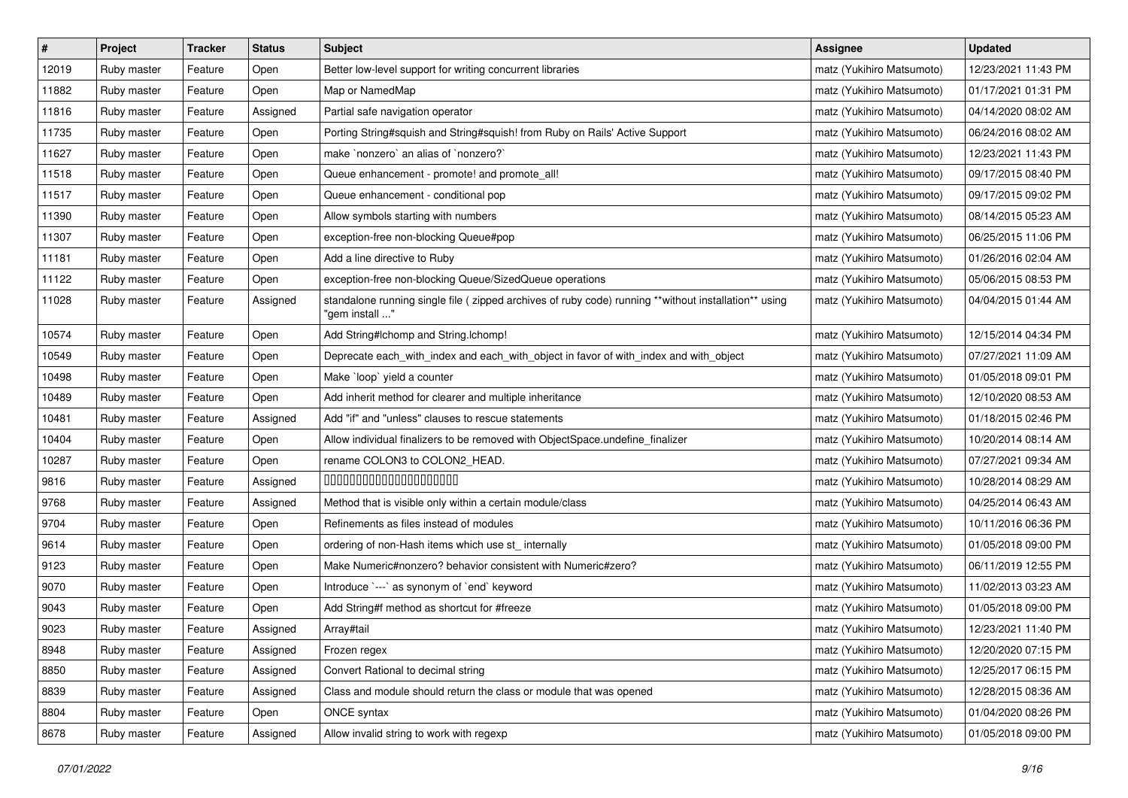| $\sharp$ | Project     | Tracker | <b>Status</b> | <b>Subject</b>                                                                                                         | <b>Assignee</b>           | <b>Updated</b>      |
|----------|-------------|---------|---------------|------------------------------------------------------------------------------------------------------------------------|---------------------------|---------------------|
| 12019    | Ruby master | Feature | Open          | Better low-level support for writing concurrent libraries                                                              | matz (Yukihiro Matsumoto) | 12/23/2021 11:43 PM |
| 11882    | Ruby master | Feature | Open          | Map or NamedMap                                                                                                        | matz (Yukihiro Matsumoto) | 01/17/2021 01:31 PM |
| 11816    | Ruby master | Feature | Assigned      | Partial safe navigation operator                                                                                       | matz (Yukihiro Matsumoto) | 04/14/2020 08:02 AM |
| 11735    | Ruby master | Feature | Open          | Porting String#squish and String#squish! from Ruby on Rails' Active Support                                            | matz (Yukihiro Matsumoto) | 06/24/2016 08:02 AM |
| 11627    | Ruby master | Feature | Open          | make `nonzero` an alias of `nonzero?`                                                                                  | matz (Yukihiro Matsumoto) | 12/23/2021 11:43 PM |
| 11518    | Ruby master | Feature | Open          | Queue enhancement - promote! and promote_all!                                                                          | matz (Yukihiro Matsumoto) | 09/17/2015 08:40 PM |
| 11517    | Ruby master | Feature | Open          | Queue enhancement - conditional pop                                                                                    | matz (Yukihiro Matsumoto) | 09/17/2015 09:02 PM |
| 11390    | Ruby master | Feature | Open          | Allow symbols starting with numbers                                                                                    | matz (Yukihiro Matsumoto) | 08/14/2015 05:23 AM |
| 11307    | Ruby master | Feature | Open          | exception-free non-blocking Queue#pop                                                                                  | matz (Yukihiro Matsumoto) | 06/25/2015 11:06 PM |
| 11181    | Ruby master | Feature | Open          | Add a line directive to Ruby                                                                                           | matz (Yukihiro Matsumoto) | 01/26/2016 02:04 AM |
| 11122    | Ruby master | Feature | Open          | exception-free non-blocking Queue/SizedQueue operations                                                                | matz (Yukihiro Matsumoto) | 05/06/2015 08:53 PM |
| 11028    | Ruby master | Feature | Assigned      | standalone running single file (zipped archives of ruby code) running **without installation** using<br>"gem install " | matz (Yukihiro Matsumoto) | 04/04/2015 01:44 AM |
| 10574    | Ruby master | Feature | Open          | Add String#Ichomp and String.Ichomp!                                                                                   | matz (Yukihiro Matsumoto) | 12/15/2014 04:34 PM |
| 10549    | Ruby master | Feature | Open          | Deprecate each_with_index and each_with_object in favor of with_index and with_object                                  | matz (Yukihiro Matsumoto) | 07/27/2021 11:09 AM |
| 10498    | Ruby master | Feature | Open          | Make `loop` yield a counter                                                                                            | matz (Yukihiro Matsumoto) | 01/05/2018 09:01 PM |
| 10489    | Ruby master | Feature | Open          | Add inherit method for clearer and multiple inheritance                                                                | matz (Yukihiro Matsumoto) | 12/10/2020 08:53 AM |
| 10481    | Ruby master | Feature | Assigned      | Add "if" and "unless" clauses to rescue statements                                                                     | matz (Yukihiro Matsumoto) | 01/18/2015 02:46 PM |
| 10404    | Ruby master | Feature | Open          | Allow individual finalizers to be removed with ObjectSpace.undefine_finalizer                                          | matz (Yukihiro Matsumoto) | 10/20/2014 08:14 AM |
| 10287    | Ruby master | Feature | Open          | rename COLON3 to COLON2_HEAD.                                                                                          | matz (Yukihiro Matsumoto) | 07/27/2021 09:34 AM |
| 9816     | Ruby master | Feature | Assigned      | 00000000000000000000                                                                                                   | matz (Yukihiro Matsumoto) | 10/28/2014 08:29 AM |
| 9768     | Ruby master | Feature | Assigned      | Method that is visible only within a certain module/class                                                              | matz (Yukihiro Matsumoto) | 04/25/2014 06:43 AM |
| 9704     | Ruby master | Feature | Open          | Refinements as files instead of modules                                                                                | matz (Yukihiro Matsumoto) | 10/11/2016 06:36 PM |
| 9614     | Ruby master | Feature | Open          | ordering of non-Hash items which use st_ internally                                                                    | matz (Yukihiro Matsumoto) | 01/05/2018 09:00 PM |
| 9123     | Ruby master | Feature | Open          | Make Numeric#nonzero? behavior consistent with Numeric#zero?                                                           | matz (Yukihiro Matsumoto) | 06/11/2019 12:55 PM |
| 9070     | Ruby master | Feature | Open          | Introduce `---` as synonym of `end` keyword                                                                            | matz (Yukihiro Matsumoto) | 11/02/2013 03:23 AM |
| 9043     | Ruby master | Feature | Open          | Add String#f method as shortcut for #freeze                                                                            | matz (Yukihiro Matsumoto) | 01/05/2018 09:00 PM |
| 9023     | Ruby master | Feature | Assigned      | Array#tail                                                                                                             | matz (Yukihiro Matsumoto) | 12/23/2021 11:40 PM |
| 8948     | Ruby master | Feature | Assigned      | Frozen regex                                                                                                           | matz (Yukihiro Matsumoto) | 12/20/2020 07:15 PM |
| 8850     | Ruby master | Feature | Assigned      | Convert Rational to decimal string                                                                                     | matz (Yukihiro Matsumoto) | 12/25/2017 06:15 PM |
| 8839     | Ruby master | Feature | Assigned      | Class and module should return the class or module that was opened                                                     | matz (Yukihiro Matsumoto) | 12/28/2015 08:36 AM |
| 8804     | Ruby master | Feature | Open          | ONCE syntax                                                                                                            | matz (Yukihiro Matsumoto) | 01/04/2020 08:26 PM |
| 8678     | Ruby master | Feature | Assigned      | Allow invalid string to work with regexp                                                                               | matz (Yukihiro Matsumoto) | 01/05/2018 09:00 PM |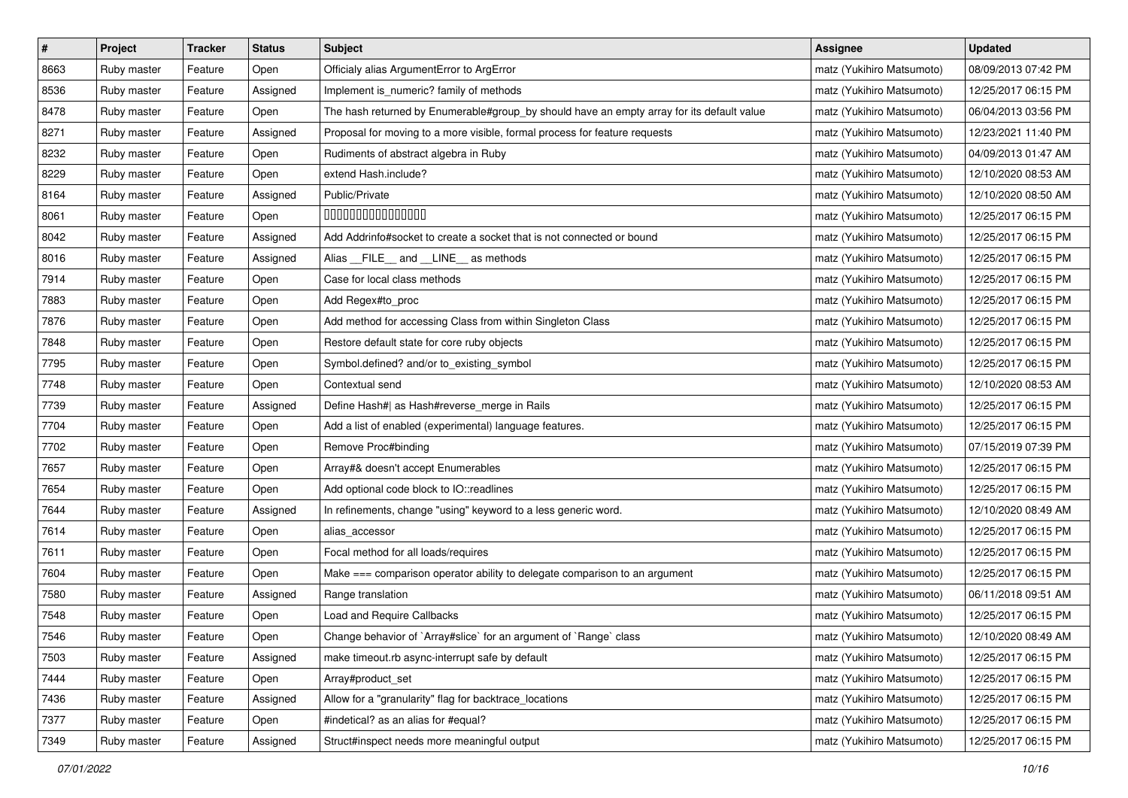| $\pmb{\#}$ | Project     | <b>Tracker</b> | <b>Status</b> | <b>Subject</b>                                                                            | Assignee                  | <b>Updated</b>      |
|------------|-------------|----------------|---------------|-------------------------------------------------------------------------------------------|---------------------------|---------------------|
| 8663       | Ruby master | Feature        | Open          | Officialy alias ArgumentError to ArgError                                                 | matz (Yukihiro Matsumoto) | 08/09/2013 07:42 PM |
| 8536       | Ruby master | Feature        | Assigned      | Implement is_numeric? family of methods                                                   | matz (Yukihiro Matsumoto) | 12/25/2017 06:15 PM |
| 8478       | Ruby master | Feature        | Open          | The hash returned by Enumerable#group_by should have an empty array for its default value | matz (Yukihiro Matsumoto) | 06/04/2013 03:56 PM |
| 8271       | Ruby master | Feature        | Assigned      | Proposal for moving to a more visible, formal process for feature requests                | matz (Yukihiro Matsumoto) | 12/23/2021 11:40 PM |
| 8232       | Ruby master | Feature        | Open          | Rudiments of abstract algebra in Ruby                                                     | matz (Yukihiro Matsumoto) | 04/09/2013 01:47 AM |
| 8229       | Ruby master | Feature        | Open          | extend Hash.include?                                                                      | matz (Yukihiro Matsumoto) | 12/10/2020 08:53 AM |
| 8164       | Ruby master | Feature        | Assigned      | Public/Private                                                                            | matz (Yukihiro Matsumoto) | 12/10/2020 08:50 AM |
| 8061       | Ruby master | Feature        | Open          | 000000000000000                                                                           | matz (Yukihiro Matsumoto) | 12/25/2017 06:15 PM |
| 8042       | Ruby master | Feature        | Assigned      | Add Addrinfo#socket to create a socket that is not connected or bound                     | matz (Yukihiro Matsumoto) | 12/25/2017 06:15 PM |
| 8016       | Ruby master | Feature        | Assigned      | Alias FILE and LINE as methods                                                            | matz (Yukihiro Matsumoto) | 12/25/2017 06:15 PM |
| 7914       | Ruby master | Feature        | Open          | Case for local class methods                                                              | matz (Yukihiro Matsumoto) | 12/25/2017 06:15 PM |
| 7883       | Ruby master | Feature        | Open          | Add Regex#to_proc                                                                         | matz (Yukihiro Matsumoto) | 12/25/2017 06:15 PM |
| 7876       | Ruby master | Feature        | Open          | Add method for accessing Class from within Singleton Class                                | matz (Yukihiro Matsumoto) | 12/25/2017 06:15 PM |
| 7848       | Ruby master | Feature        | Open          | Restore default state for core ruby objects                                               | matz (Yukihiro Matsumoto) | 12/25/2017 06:15 PM |
| 7795       | Ruby master | Feature        | Open          | Symbol.defined? and/or to_existing_symbol                                                 | matz (Yukihiro Matsumoto) | 12/25/2017 06:15 PM |
| 7748       | Ruby master | Feature        | Open          | Contextual send                                                                           | matz (Yukihiro Matsumoto) | 12/10/2020 08:53 AM |
| 7739       | Ruby master | Feature        | Assigned      | Define Hash#  as Hash#reverse_merge in Rails                                              | matz (Yukihiro Matsumoto) | 12/25/2017 06:15 PM |
| 7704       | Ruby master | Feature        | Open          | Add a list of enabled (experimental) language features.                                   | matz (Yukihiro Matsumoto) | 12/25/2017 06:15 PM |
| 7702       | Ruby master | Feature        | Open          | Remove Proc#binding                                                                       | matz (Yukihiro Matsumoto) | 07/15/2019 07:39 PM |
| 7657       | Ruby master | Feature        | Open          | Array#& doesn't accept Enumerables                                                        | matz (Yukihiro Matsumoto) | 12/25/2017 06:15 PM |
| 7654       | Ruby master | Feature        | Open          | Add optional code block to IO::readlines                                                  | matz (Yukihiro Matsumoto) | 12/25/2017 06:15 PM |
| 7644       | Ruby master | Feature        | Assigned      | In refinements, change "using" keyword to a less generic word.                            | matz (Yukihiro Matsumoto) | 12/10/2020 08:49 AM |
| 7614       | Ruby master | Feature        | Open          | alias_accessor                                                                            | matz (Yukihiro Matsumoto) | 12/25/2017 06:15 PM |
| 7611       | Ruby master | Feature        | Open          | Focal method for all loads/requires                                                       | matz (Yukihiro Matsumoto) | 12/25/2017 06:15 PM |
| 7604       | Ruby master | Feature        | Open          | Make === comparison operator ability to delegate comparison to an argument                | matz (Yukihiro Matsumoto) | 12/25/2017 06:15 PM |
| 7580       | Ruby master | Feature        | Assigned      | Range translation                                                                         | matz (Yukihiro Matsumoto) | 06/11/2018 09:51 AM |
| 7548       | Ruby master | Feature        | Open          | Load and Require Callbacks                                                                | matz (Yukihiro Matsumoto) | 12/25/2017 06:15 PM |
| 7546       | Ruby master | Feature        | Open          | Change behavior of `Array#slice` for an argument of `Range` class                         | matz (Yukihiro Matsumoto) | 12/10/2020 08:49 AM |
| 7503       | Ruby master | Feature        | Assigned      | make timeout.rb async-interrupt safe by default                                           | matz (Yukihiro Matsumoto) | 12/25/2017 06:15 PM |
| 7444       | Ruby master | Feature        | Open          | Array#product_set                                                                         | matz (Yukihiro Matsumoto) | 12/25/2017 06:15 PM |
| 7436       | Ruby master | Feature        | Assigned      | Allow for a "granularity" flag for backtrace_locations                                    | matz (Yukihiro Matsumoto) | 12/25/2017 06:15 PM |
| 7377       | Ruby master | Feature        | Open          | #indetical? as an alias for #equal?                                                       | matz (Yukihiro Matsumoto) | 12/25/2017 06:15 PM |
| 7349       | Ruby master | Feature        | Assigned      | Struct#inspect needs more meaningful output                                               | matz (Yukihiro Matsumoto) | 12/25/2017 06:15 PM |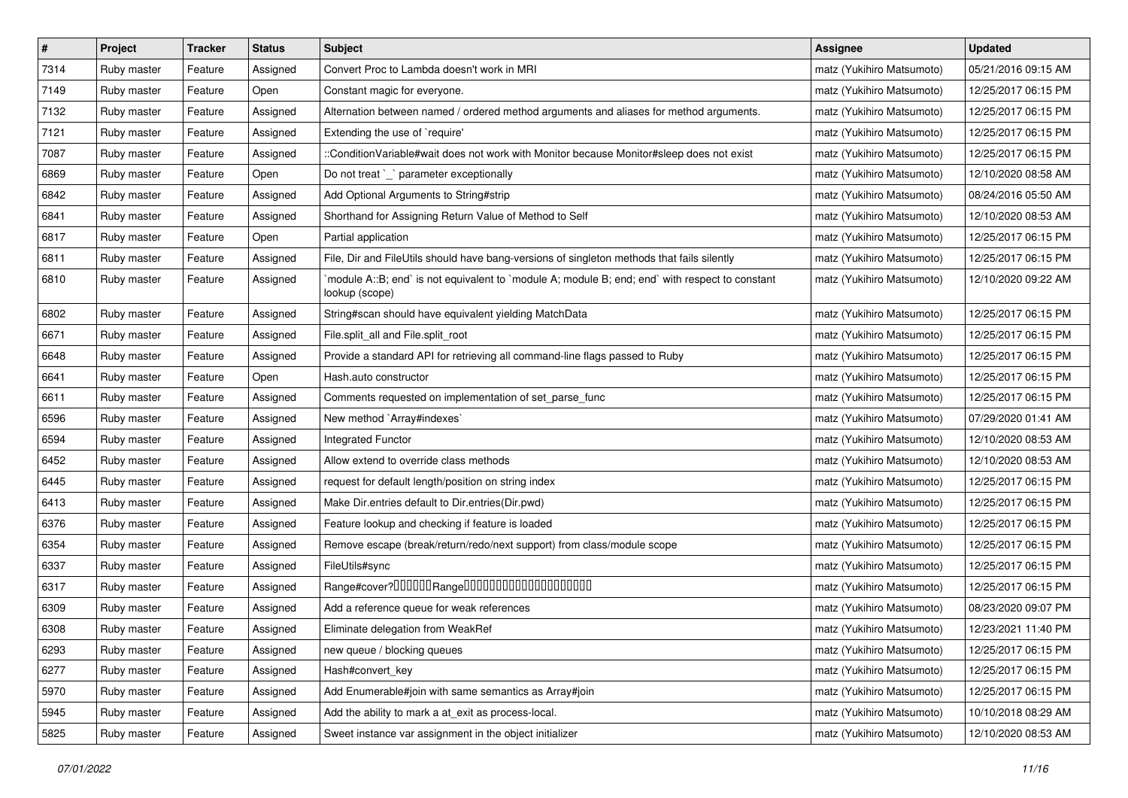| $\vert$ # | Project     | <b>Tracker</b> | <b>Status</b> | <b>Subject</b>                                                                                                   | <b>Assignee</b>           | <b>Updated</b>      |
|-----------|-------------|----------------|---------------|------------------------------------------------------------------------------------------------------------------|---------------------------|---------------------|
| 7314      | Ruby master | Feature        | Assigned      | Convert Proc to Lambda doesn't work in MRI                                                                       | matz (Yukihiro Matsumoto) | 05/21/2016 09:15 AM |
| 7149      | Ruby master | Feature        | Open          | Constant magic for everyone.                                                                                     | matz (Yukihiro Matsumoto) | 12/25/2017 06:15 PM |
| 7132      | Ruby master | Feature        | Assigned      | Alternation between named / ordered method arguments and aliases for method arguments.                           | matz (Yukihiro Matsumoto) | 12/25/2017 06:15 PM |
| 7121      | Ruby master | Feature        | Assigned      | Extending the use of `require'                                                                                   | matz (Yukihiro Matsumoto) | 12/25/2017 06:15 PM |
| 7087      | Ruby master | Feature        | Assigned      | ::ConditionVariable#wait does not work with Monitor because Monitor#sleep does not exist                         | matz (Yukihiro Matsumoto) | 12/25/2017 06:15 PM |
| 6869      | Ruby master | Feature        | Open          | Do not treat `_` parameter exceptionally                                                                         | matz (Yukihiro Matsumoto) | 12/10/2020 08:58 AM |
| 6842      | Ruby master | Feature        | Assigned      | Add Optional Arguments to String#strip                                                                           | matz (Yukihiro Matsumoto) | 08/24/2016 05:50 AM |
| 6841      | Ruby master | Feature        | Assigned      | Shorthand for Assigning Return Value of Method to Self                                                           | matz (Yukihiro Matsumoto) | 12/10/2020 08:53 AM |
| 6817      | Ruby master | Feature        | Open          | Partial application                                                                                              | matz (Yukihiro Matsumoto) | 12/25/2017 06:15 PM |
| 6811      | Ruby master | Feature        | Assigned      | File, Dir and FileUtils should have bang-versions of singleton methods that fails silently                       | matz (Yukihiro Matsumoto) | 12/25/2017 06:15 PM |
| 6810      | Ruby master | Feature        | Assigned      | module A::B; end` is not equivalent to `module A; module B; end; end` with respect to constant<br>lookup (scope) | matz (Yukihiro Matsumoto) | 12/10/2020 09:22 AM |
| 6802      | Ruby master | Feature        | Assigned      | String#scan should have equivalent yielding MatchData                                                            | matz (Yukihiro Matsumoto) | 12/25/2017 06:15 PM |
| 6671      | Ruby master | Feature        | Assigned      | File.split_all and File.split_root                                                                               | matz (Yukihiro Matsumoto) | 12/25/2017 06:15 PM |
| 6648      | Ruby master | Feature        | Assigned      | Provide a standard API for retrieving all command-line flags passed to Ruby                                      | matz (Yukihiro Matsumoto) | 12/25/2017 06:15 PM |
| 6641      | Ruby master | Feature        | Open          | Hash.auto constructor                                                                                            | matz (Yukihiro Matsumoto) | 12/25/2017 06:15 PM |
| 6611      | Ruby master | Feature        | Assigned      | Comments requested on implementation of set_parse_func                                                           | matz (Yukihiro Matsumoto) | 12/25/2017 06:15 PM |
| 6596      | Ruby master | Feature        | Assigned      | New method `Array#indexes`                                                                                       | matz (Yukihiro Matsumoto) | 07/29/2020 01:41 AM |
| 6594      | Ruby master | Feature        | Assigned      | <b>Integrated Functor</b>                                                                                        | matz (Yukihiro Matsumoto) | 12/10/2020 08:53 AM |
| 6452      | Ruby master | Feature        | Assigned      | Allow extend to override class methods                                                                           | matz (Yukihiro Matsumoto) | 12/10/2020 08:53 AM |
| 6445      | Ruby master | Feature        | Assigned      | request for default length/position on string index                                                              | matz (Yukihiro Matsumoto) | 12/25/2017 06:15 PM |
| 6413      | Ruby master | Feature        | Assigned      | Make Dir.entries default to Dir.entries(Dir.pwd)                                                                 | matz (Yukihiro Matsumoto) | 12/25/2017 06:15 PM |
| 6376      | Ruby master | Feature        | Assigned      | Feature lookup and checking if feature is loaded                                                                 | matz (Yukihiro Matsumoto) | 12/25/2017 06:15 PM |
| 6354      | Ruby master | Feature        | Assigned      | Remove escape (break/return/redo/next support) from class/module scope                                           | matz (Yukihiro Matsumoto) | 12/25/2017 06:15 PM |
| 6337      | Ruby master | Feature        | Assigned      | FileUtils#sync                                                                                                   | matz (Yukihiro Matsumoto) | 12/25/2017 06:15 PM |
| 6317      | Ruby master | Feature        | Assigned      |                                                                                                                  | matz (Yukihiro Matsumoto) | 12/25/2017 06:15 PM |
| 6309      | Ruby master | Feature        | Assigned      | Add a reference queue for weak references                                                                        | matz (Yukihiro Matsumoto) | 08/23/2020 09:07 PM |
| 6308      | Ruby master | Feature        | Assigned      | Eliminate delegation from WeakRef                                                                                | matz (Yukihiro Matsumoto) | 12/23/2021 11:40 PM |
| 6293      | Ruby master | Feature        | Assigned      | new queue / blocking queues                                                                                      | matz (Yukihiro Matsumoto) | 12/25/2017 06:15 PM |
| 6277      | Ruby master | Feature        | Assigned      | Hash#convert_key                                                                                                 | matz (Yukihiro Matsumoto) | 12/25/2017 06:15 PM |
| 5970      | Ruby master | Feature        | Assigned      | Add Enumerable#join with same semantics as Array#join                                                            | matz (Yukihiro Matsumoto) | 12/25/2017 06:15 PM |
| 5945      | Ruby master | Feature        | Assigned      | Add the ability to mark a at_exit as process-local.                                                              | matz (Yukihiro Matsumoto) | 10/10/2018 08:29 AM |
| 5825      | Ruby master | Feature        | Assigned      | Sweet instance var assignment in the object initializer                                                          | matz (Yukihiro Matsumoto) | 12/10/2020 08:53 AM |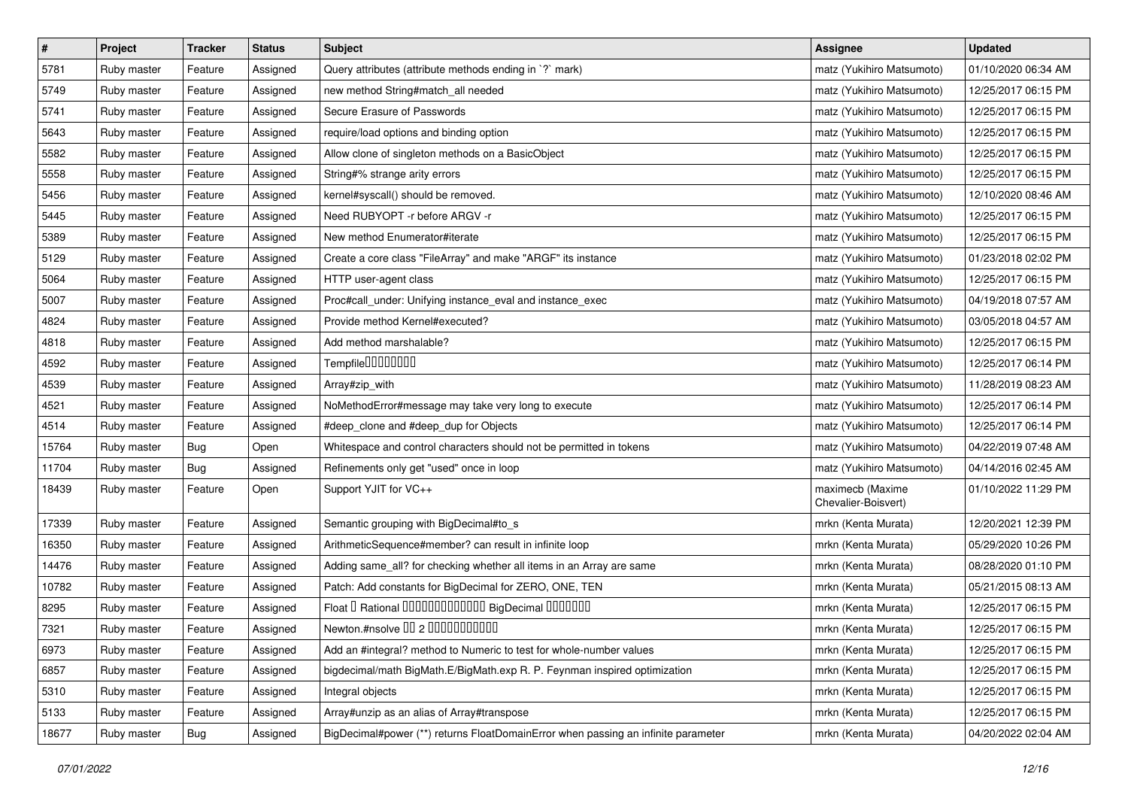| $\pmb{\#}$ | Project     | <b>Tracker</b> | <b>Status</b> | <b>Subject</b>                                                                    | <b>Assignee</b>                         | <b>Updated</b>      |
|------------|-------------|----------------|---------------|-----------------------------------------------------------------------------------|-----------------------------------------|---------------------|
| 5781       | Ruby master | Feature        | Assigned      | Query attributes (attribute methods ending in `?` mark)                           | matz (Yukihiro Matsumoto)               | 01/10/2020 06:34 AM |
| 5749       | Ruby master | Feature        | Assigned      | new method String#match_all needed                                                | matz (Yukihiro Matsumoto)               | 12/25/2017 06:15 PM |
| 5741       | Ruby master | Feature        | Assigned      | Secure Erasure of Passwords                                                       | matz (Yukihiro Matsumoto)               | 12/25/2017 06:15 PM |
| 5643       | Ruby master | Feature        | Assigned      | require/load options and binding option                                           | matz (Yukihiro Matsumoto)               | 12/25/2017 06:15 PM |
| 5582       | Ruby master | Feature        | Assigned      | Allow clone of singleton methods on a BasicObject                                 | matz (Yukihiro Matsumoto)               | 12/25/2017 06:15 PM |
| 5558       | Ruby master | Feature        | Assigned      | String#% strange arity errors                                                     | matz (Yukihiro Matsumoto)               | 12/25/2017 06:15 PM |
| 5456       | Ruby master | Feature        | Assigned      | kernel#syscall() should be removed.                                               | matz (Yukihiro Matsumoto)               | 12/10/2020 08:46 AM |
| 5445       | Ruby master | Feature        | Assigned      | Need RUBYOPT -r before ARGV -r                                                    | matz (Yukihiro Matsumoto)               | 12/25/2017 06:15 PM |
| 5389       | Ruby master | Feature        | Assigned      | New method Enumerator#iterate                                                     | matz (Yukihiro Matsumoto)               | 12/25/2017 06:15 PM |
| 5129       | Ruby master | Feature        | Assigned      | Create a core class "FileArray" and make "ARGF" its instance                      | matz (Yukihiro Matsumoto)               | 01/23/2018 02:02 PM |
| 5064       | Ruby master | Feature        | Assigned      | HTTP user-agent class                                                             | matz (Yukihiro Matsumoto)               | 12/25/2017 06:15 PM |
| 5007       | Ruby master | Feature        | Assigned      | Proc#call_under: Unifying instance_eval and instance_exec                         | matz (Yukihiro Matsumoto)               | 04/19/2018 07:57 AM |
| 4824       | Ruby master | Feature        | Assigned      | Provide method Kernel#executed?                                                   | matz (Yukihiro Matsumoto)               | 03/05/2018 04:57 AM |
| 4818       | Ruby master | Feature        | Assigned      | Add method marshalable?                                                           | matz (Yukihiro Matsumoto)               | 12/25/2017 06:15 PM |
| 4592       | Ruby master | Feature        | Assigned      | Tempfile0000000                                                                   | matz (Yukihiro Matsumoto)               | 12/25/2017 06:14 PM |
| 4539       | Ruby master | Feature        | Assigned      | Array#zip_with                                                                    | matz (Yukihiro Matsumoto)               | 11/28/2019 08:23 AM |
| 4521       | Ruby master | Feature        | Assigned      | NoMethodError#message may take very long to execute                               | matz (Yukihiro Matsumoto)               | 12/25/2017 06:14 PM |
| 4514       | Ruby master | Feature        | Assigned      | #deep_clone and #deep_dup for Objects                                             | matz (Yukihiro Matsumoto)               | 12/25/2017 06:14 PM |
| 15764      | Ruby master | Bug            | Open          | Whitespace and control characters should not be permitted in tokens               | matz (Yukihiro Matsumoto)               | 04/22/2019 07:48 AM |
| 11704      | Ruby master | Bug            | Assigned      | Refinements only get "used" once in loop                                          | matz (Yukihiro Matsumoto)               | 04/14/2016 02:45 AM |
| 18439      | Ruby master | Feature        | Open          | Support YJIT for VC++                                                             | maximecb (Maxime<br>Chevalier-Boisvert) | 01/10/2022 11:29 PM |
| 17339      | Ruby master | Feature        | Assigned      | Semantic grouping with BigDecimal#to_s                                            | mrkn (Kenta Murata)                     | 12/20/2021 12:39 PM |
| 16350      | Ruby master | Feature        | Assigned      | ArithmeticSequence#member? can result in infinite loop                            | mrkn (Kenta Murata)                     | 05/29/2020 10:26 PM |
| 14476      | Ruby master | Feature        | Assigned      | Adding same_all? for checking whether all items in an Array are same              | mrkn (Kenta Murata)                     | 08/28/2020 01:10 PM |
| 10782      | Ruby master | Feature        | Assigned      | Patch: Add constants for BigDecimal for ZERO, ONE, TEN                            | mrkn (Kenta Murata)                     | 05/21/2015 08:13 AM |
| 8295       | Ruby master | Feature        | Assigned      | Float I Rational 0000000000000 BigDecimal 0000000                                 | mrkn (Kenta Murata)                     | 12/25/2017 06:15 PM |
| 7321       | Ruby master | Feature        | Assigned      | Newton.#nsolve 00 2 0000000000                                                    | mrkn (Kenta Murata)                     | 12/25/2017 06:15 PM |
| 6973       | Ruby master | Feature        | Assigned      | Add an #integral? method to Numeric to test for whole-number values               | mrkn (Kenta Murata)                     | 12/25/2017 06:15 PM |
| 6857       | Ruby master | Feature        | Assigned      | bigdecimal/math BigMath.E/BigMath.exp R. P. Feynman inspired optimization         | mrkn (Kenta Murata)                     | 12/25/2017 06:15 PM |
| 5310       | Ruby master | Feature        | Assigned      | Integral objects                                                                  | mrkn (Kenta Murata)                     | 12/25/2017 06:15 PM |
| 5133       | Ruby master | Feature        | Assigned      | Array#unzip as an alias of Array#transpose                                        | mrkn (Kenta Murata)                     | 12/25/2017 06:15 PM |
| 18677      | Ruby master | <b>Bug</b>     | Assigned      | BigDecimal#power (**) returns FloatDomainError when passing an infinite parameter | mrkn (Kenta Murata)                     | 04/20/2022 02:04 AM |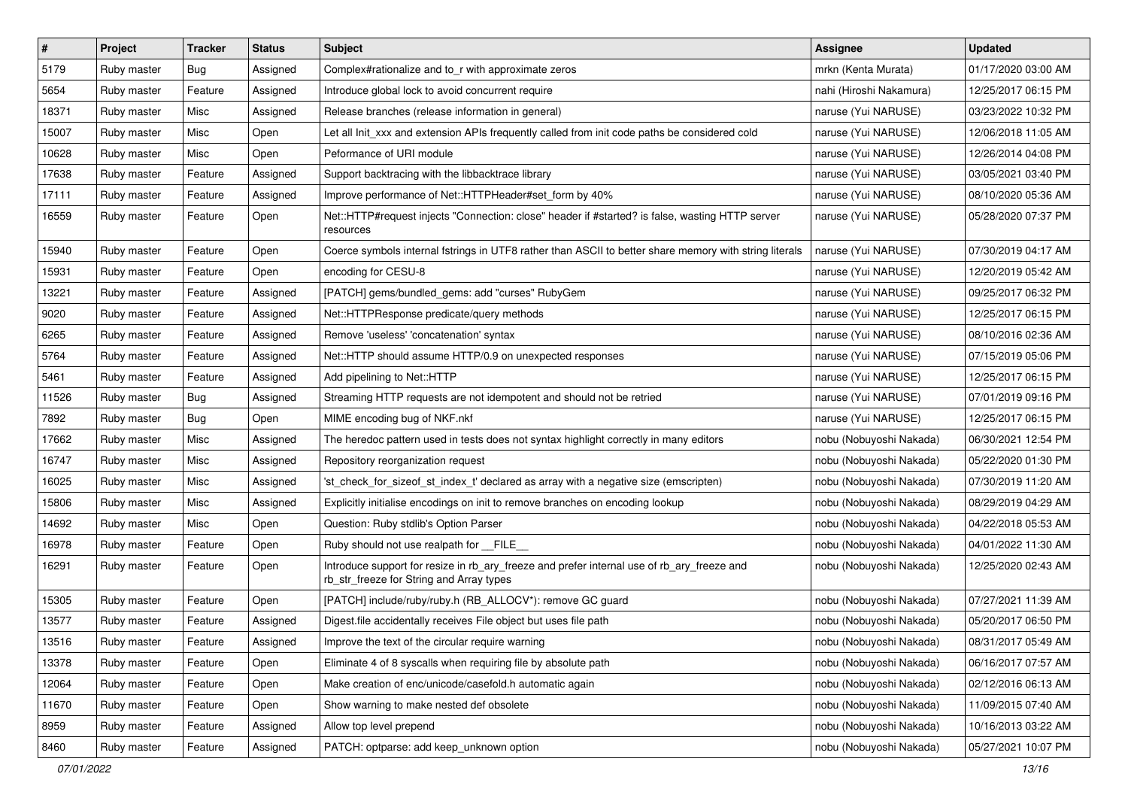| $\pmb{\#}$ | Project     | <b>Tracker</b> | <b>Status</b> | <b>Subject</b>                                                                                                                         | Assignee                | <b>Updated</b>      |
|------------|-------------|----------------|---------------|----------------------------------------------------------------------------------------------------------------------------------------|-------------------------|---------------------|
| 5179       | Ruby master | <b>Bug</b>     | Assigned      | Complex#rationalize and to_r with approximate zeros                                                                                    | mrkn (Kenta Murata)     | 01/17/2020 03:00 AM |
| 5654       | Ruby master | Feature        | Assigned      | Introduce global lock to avoid concurrent require                                                                                      | nahi (Hiroshi Nakamura) | 12/25/2017 06:15 PM |
| 18371      | Ruby master | Misc           | Assigned      | Release branches (release information in general)                                                                                      | naruse (Yui NARUSE)     | 03/23/2022 10:32 PM |
| 15007      | Ruby master | Misc           | Open          | Let all Init_xxx and extension APIs frequently called from init code paths be considered cold                                          | naruse (Yui NARUSE)     | 12/06/2018 11:05 AM |
| 10628      | Ruby master | Misc           | Open          | Peformance of URI module                                                                                                               | naruse (Yui NARUSE)     | 12/26/2014 04:08 PM |
| 17638      | Ruby master | Feature        | Assigned      | Support backtracing with the libbacktrace library                                                                                      | naruse (Yui NARUSE)     | 03/05/2021 03:40 PM |
| 17111      | Ruby master | Feature        | Assigned      | Improve performance of Net::HTTPHeader#set_form by 40%                                                                                 | naruse (Yui NARUSE)     | 08/10/2020 05:36 AM |
| 16559      | Ruby master | Feature        | Open          | Net::HTTP#request injects "Connection: close" header if #started? is false, wasting HTTP server<br>resources                           | naruse (Yui NARUSE)     | 05/28/2020 07:37 PM |
| 15940      | Ruby master | Feature        | Open          | Coerce symbols internal fstrings in UTF8 rather than ASCII to better share memory with string literals                                 | naruse (Yui NARUSE)     | 07/30/2019 04:17 AM |
| 15931      | Ruby master | Feature        | Open          | encoding for CESU-8                                                                                                                    | naruse (Yui NARUSE)     | 12/20/2019 05:42 AM |
| 13221      | Ruby master | Feature        | Assigned      | [PATCH] gems/bundled_gems: add "curses" RubyGem                                                                                        | naruse (Yui NARUSE)     | 09/25/2017 06:32 PM |
| 9020       | Ruby master | Feature        | Assigned      | Net::HTTPResponse predicate/query methods                                                                                              | naruse (Yui NARUSE)     | 12/25/2017 06:15 PM |
| 6265       | Ruby master | Feature        | Assigned      | Remove 'useless' 'concatenation' syntax                                                                                                | naruse (Yui NARUSE)     | 08/10/2016 02:36 AM |
| 5764       | Ruby master | Feature        | Assigned      | Net::HTTP should assume HTTP/0.9 on unexpected responses                                                                               | naruse (Yui NARUSE)     | 07/15/2019 05:06 PM |
| 5461       | Ruby master | Feature        | Assigned      | Add pipelining to Net::HTTP                                                                                                            | naruse (Yui NARUSE)     | 12/25/2017 06:15 PM |
| 11526      | Ruby master | Bug            | Assigned      | Streaming HTTP requests are not idempotent and should not be retried                                                                   | naruse (Yui NARUSE)     | 07/01/2019 09:16 PM |
| 7892       | Ruby master | <b>Bug</b>     | Open          | MIME encoding bug of NKF.nkf                                                                                                           | naruse (Yui NARUSE)     | 12/25/2017 06:15 PM |
| 17662      | Ruby master | Misc           | Assigned      | The heredoc pattern used in tests does not syntax highlight correctly in many editors                                                  | nobu (Nobuyoshi Nakada) | 06/30/2021 12:54 PM |
| 16747      | Ruby master | Misc           | Assigned      | Repository reorganization request                                                                                                      | nobu (Nobuyoshi Nakada) | 05/22/2020 01:30 PM |
| 16025      | Ruby master | Misc           | Assigned      | 'st_check_for_sizeof_st_index_t' declared as array with a negative size (emscripten)                                                   | nobu (Nobuyoshi Nakada) | 07/30/2019 11:20 AM |
| 15806      | Ruby master | Misc           | Assigned      | Explicitly initialise encodings on init to remove branches on encoding lookup                                                          | nobu (Nobuyoshi Nakada) | 08/29/2019 04:29 AM |
| 14692      | Ruby master | Misc           | Open          | Question: Ruby stdlib's Option Parser                                                                                                  | nobu (Nobuyoshi Nakada) | 04/22/2018 05:53 AM |
| 16978      | Ruby master | Feature        | Open          | Ruby should not use realpath for FILE                                                                                                  | nobu (Nobuyoshi Nakada) | 04/01/2022 11:30 AM |
| 16291      | Ruby master | Feature        | Open          | Introduce support for resize in rb_ary_freeze and prefer internal use of rb_ary_freeze and<br>rb_str_freeze for String and Array types | nobu (Nobuyoshi Nakada) | 12/25/2020 02:43 AM |
| 15305      | Ruby master | Feature        | Open          | [PATCH] include/ruby/ruby.h (RB_ALLOCV*): remove GC guard                                                                              | nobu (Nobuyoshi Nakada) | 07/27/2021 11:39 AM |
| 13577      | Ruby master | Feature        | Assigned      | Digest file accidentally receives File object but uses file path                                                                       | nobu (Nobuyoshi Nakada) | 05/20/2017 06:50 PM |
| 13516      | Ruby master | Feature        | Assigned      | Improve the text of the circular require warning                                                                                       | nobu (Nobuyoshi Nakada) | 08/31/2017 05:49 AM |
| 13378      | Ruby master | Feature        | Open          | Eliminate 4 of 8 syscalls when requiring file by absolute path                                                                         | nobu (Nobuyoshi Nakada) | 06/16/2017 07:57 AM |
| 12064      | Ruby master | Feature        | Open          | Make creation of enc/unicode/casefold.h automatic again                                                                                | nobu (Nobuyoshi Nakada) | 02/12/2016 06:13 AM |
| 11670      | Ruby master | Feature        | Open          | Show warning to make nested def obsolete                                                                                               | nobu (Nobuyoshi Nakada) | 11/09/2015 07:40 AM |
| 8959       | Ruby master | Feature        | Assigned      | Allow top level prepend                                                                                                                | nobu (Nobuyoshi Nakada) | 10/16/2013 03:22 AM |
| 8460       | Ruby master | Feature        | Assigned      | PATCH: optparse: add keep_unknown option                                                                                               | nobu (Nobuyoshi Nakada) | 05/27/2021 10:07 PM |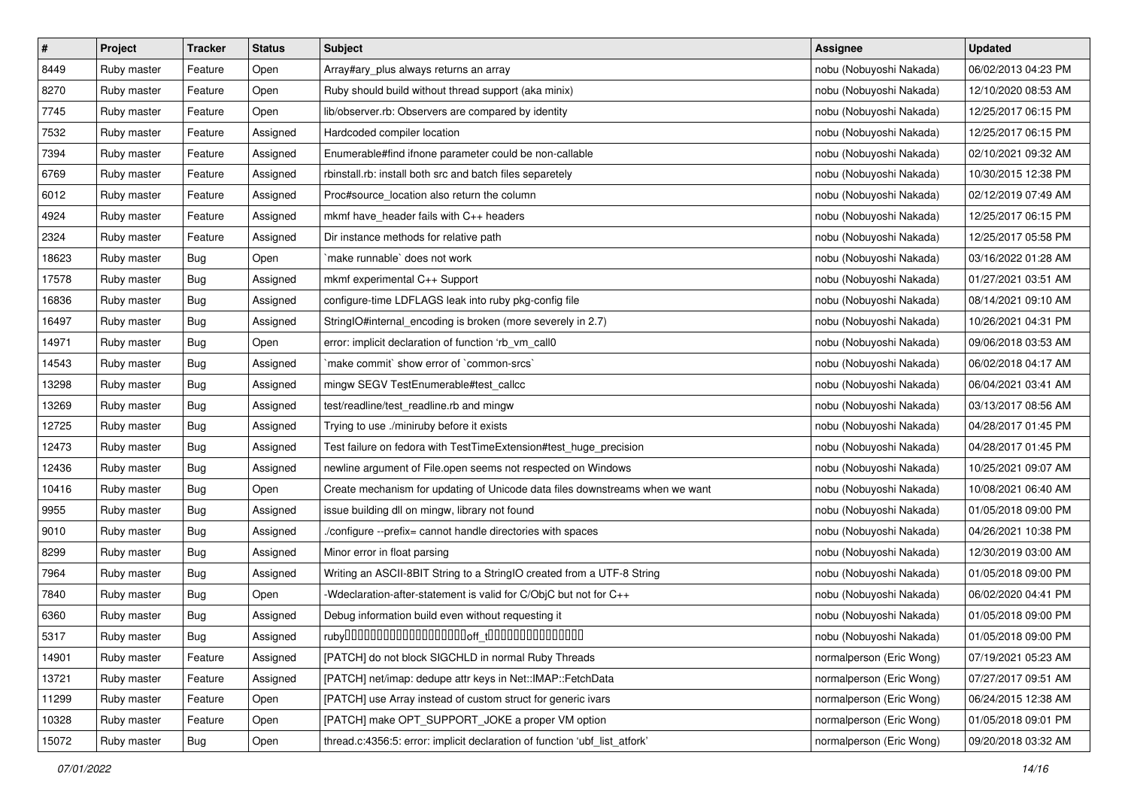| $\#$  | Project     | <b>Tracker</b> | <b>Status</b> | <b>Subject</b>                                                               | Assignee                 | <b>Updated</b>      |
|-------|-------------|----------------|---------------|------------------------------------------------------------------------------|--------------------------|---------------------|
| 8449  | Ruby master | Feature        | Open          | Array#ary_plus always returns an array                                       | nobu (Nobuyoshi Nakada)  | 06/02/2013 04:23 PM |
| 8270  | Ruby master | Feature        | Open          | Ruby should build without thread support (aka minix)                         | nobu (Nobuyoshi Nakada)  | 12/10/2020 08:53 AM |
| 7745  | Ruby master | Feature        | Open          | lib/observer.rb: Observers are compared by identity                          | nobu (Nobuyoshi Nakada)  | 12/25/2017 06:15 PM |
| 7532  | Ruby master | Feature        | Assigned      | Hardcoded compiler location                                                  | nobu (Nobuyoshi Nakada)  | 12/25/2017 06:15 PM |
| 7394  | Ruby master | Feature        | Assigned      | Enumerable#find ifnone parameter could be non-callable                       | nobu (Nobuyoshi Nakada)  | 02/10/2021 09:32 AM |
| 6769  | Ruby master | Feature        | Assigned      | rbinstall.rb: install both src and batch files separetely                    | nobu (Nobuyoshi Nakada)  | 10/30/2015 12:38 PM |
| 6012  | Ruby master | Feature        | Assigned      | Proc#source_location also return the column                                  | nobu (Nobuyoshi Nakada)  | 02/12/2019 07:49 AM |
| 4924  | Ruby master | Feature        | Assigned      | mkmf have_header fails with C++ headers                                      | nobu (Nobuyoshi Nakada)  | 12/25/2017 06:15 PM |
| 2324  | Ruby master | Feature        | Assigned      | Dir instance methods for relative path                                       | nobu (Nobuyoshi Nakada)  | 12/25/2017 05:58 PM |
| 18623 | Ruby master | <b>Bug</b>     | Open          | `make runnable` does not work                                                | nobu (Nobuyoshi Nakada)  | 03/16/2022 01:28 AM |
| 17578 | Ruby master | <b>Bug</b>     | Assigned      | mkmf experimental C++ Support                                                | nobu (Nobuyoshi Nakada)  | 01/27/2021 03:51 AM |
| 16836 | Ruby master | <b>Bug</b>     | Assigned      | configure-time LDFLAGS leak into ruby pkg-config file                        | nobu (Nobuyoshi Nakada)  | 08/14/2021 09:10 AM |
| 16497 | Ruby master | <b>Bug</b>     | Assigned      | StringIO#internal_encoding is broken (more severely in 2.7)                  | nobu (Nobuyoshi Nakada)  | 10/26/2021 04:31 PM |
| 14971 | Ruby master | <b>Bug</b>     | Open          | error: implicit declaration of function 'rb_vm_call0                         | nobu (Nobuyoshi Nakada)  | 09/06/2018 03:53 AM |
| 14543 | Ruby master | <b>Bug</b>     | Assigned      | `make commit` show error of `common-srcs`                                    | nobu (Nobuyoshi Nakada)  | 06/02/2018 04:17 AM |
| 13298 | Ruby master | <b>Bug</b>     | Assigned      | mingw SEGV TestEnumerable#test_callcc                                        | nobu (Nobuyoshi Nakada)  | 06/04/2021 03:41 AM |
| 13269 | Ruby master | <b>Bug</b>     | Assigned      | test/readline/test_readline.rb and mingw                                     | nobu (Nobuyoshi Nakada)  | 03/13/2017 08:56 AM |
| 12725 | Ruby master | <b>Bug</b>     | Assigned      | Trying to use ./miniruby before it exists                                    | nobu (Nobuyoshi Nakada)  | 04/28/2017 01:45 PM |
| 12473 | Ruby master | <b>Bug</b>     | Assigned      | Test failure on fedora with TestTimeExtension#test_huge_precision            | nobu (Nobuyoshi Nakada)  | 04/28/2017 01:45 PM |
| 12436 | Ruby master | <b>Bug</b>     | Assigned      | newline argument of File.open seems not respected on Windows                 | nobu (Nobuyoshi Nakada)  | 10/25/2021 09:07 AM |
| 10416 | Ruby master | <b>Bug</b>     | Open          | Create mechanism for updating of Unicode data files downstreams when we want | nobu (Nobuyoshi Nakada)  | 10/08/2021 06:40 AM |
| 9955  | Ruby master | <b>Bug</b>     | Assigned      | issue building dll on mingw, library not found                               | nobu (Nobuyoshi Nakada)  | 01/05/2018 09:00 PM |
| 9010  | Ruby master | <b>Bug</b>     | Assigned      | ./configure --prefix= cannot handle directories with spaces                  | nobu (Nobuyoshi Nakada)  | 04/26/2021 10:38 PM |
| 8299  | Ruby master | <b>Bug</b>     | Assigned      | Minor error in float parsing                                                 | nobu (Nobuyoshi Nakada)  | 12/30/2019 03:00 AM |
| 7964  | Ruby master | <b>Bug</b>     | Assigned      | Writing an ASCII-8BIT String to a StringIO created from a UTF-8 String       | nobu (Nobuyoshi Nakada)  | 01/05/2018 09:00 PM |
| 7840  | Ruby master | <b>Bug</b>     | Open          | -Wdeclaration-after-statement is valid for C/ObjC but not for C++            | nobu (Nobuyoshi Nakada)  | 06/02/2020 04:41 PM |
| 6360  | Ruby master | <b>Bug</b>     | Assigned      | Debug information build even without requesting it                           | nobu (Nobuyoshi Nakada)  | 01/05/2018 09:00 PM |
| 5317  | Ruby master | <b>Bug</b>     | Assigned      |                                                                              | nobu (Nobuyoshi Nakada)  | 01/05/2018 09:00 PM |
| 14901 | Ruby master | Feature        | Assigned      | [PATCH] do not block SIGCHLD in normal Ruby Threads                          | normalperson (Eric Wong) | 07/19/2021 05:23 AM |
| 13721 | Ruby master | Feature        | Assigned      | [PATCH] net/imap: dedupe attr keys in Net::IMAP::FetchData                   | normalperson (Eric Wong) | 07/27/2017 09:51 AM |
| 11299 | Ruby master | Feature        | Open          | [PATCH] use Array instead of custom struct for generic ivars                 | normalperson (Eric Wong) | 06/24/2015 12:38 AM |
| 10328 | Ruby master | Feature        | Open          | [PATCH] make OPT_SUPPORT_JOKE a proper VM option                             | normalperson (Eric Wong) | 01/05/2018 09:01 PM |
| 15072 | Ruby master | Bug            | Open          | thread.c:4356:5: error: implicit declaration of function 'ubf_list_atfork'   | normalperson (Eric Wong) | 09/20/2018 03:32 AM |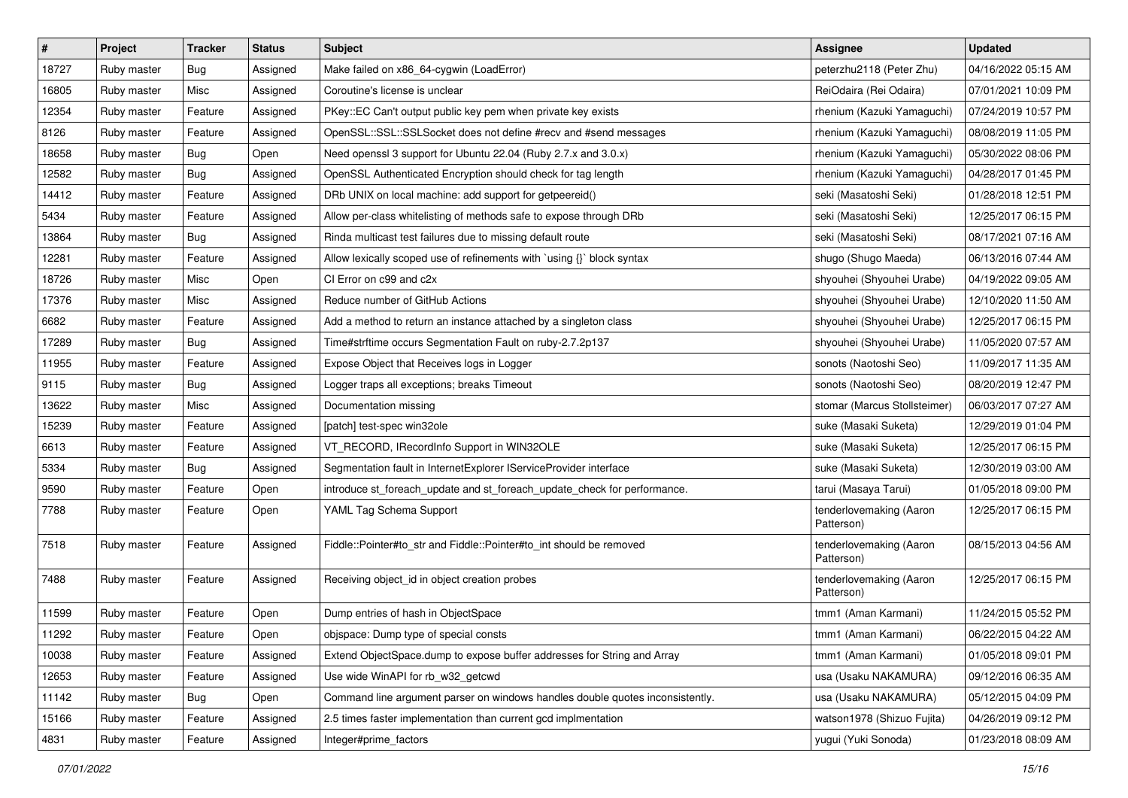| $\sharp$ | Project     | Tracker    | <b>Status</b> | <b>Subject</b>                                                                | Assignee                              | <b>Updated</b>      |
|----------|-------------|------------|---------------|-------------------------------------------------------------------------------|---------------------------------------|---------------------|
| 18727    | Ruby master | <b>Bug</b> | Assigned      | Make failed on x86_64-cygwin (LoadError)                                      | peterzhu2118 (Peter Zhu)              | 04/16/2022 05:15 AM |
| 16805    | Ruby master | Misc       | Assigned      | Coroutine's license is unclear                                                | ReiOdaira (Rei Odaira)                | 07/01/2021 10:09 PM |
| 12354    | Ruby master | Feature    | Assigned      | PKey::EC Can't output public key pem when private key exists                  | rhenium (Kazuki Yamaguchi)            | 07/24/2019 10:57 PM |
| 8126     | Ruby master | Feature    | Assigned      | OpenSSL::SSL::SSLSocket does not define #recv and #send messages              | rhenium (Kazuki Yamaguchi)            | 08/08/2019 11:05 PM |
| 18658    | Ruby master | <b>Bug</b> | Open          | Need openssl 3 support for Ubuntu 22.04 (Ruby 2.7.x and 3.0.x)                | rhenium (Kazuki Yamaguchi)            | 05/30/2022 08:06 PM |
| 12582    | Ruby master | <b>Bug</b> | Assigned      | OpenSSL Authenticated Encryption should check for tag length                  | rhenium (Kazuki Yamaguchi)            | 04/28/2017 01:45 PM |
| 14412    | Ruby master | Feature    | Assigned      | DRb UNIX on local machine: add support for getpeereid()                       | seki (Masatoshi Seki)                 | 01/28/2018 12:51 PM |
| 5434     | Ruby master | Feature    | Assigned      | Allow per-class whitelisting of methods safe to expose through DRb            | seki (Masatoshi Seki)                 | 12/25/2017 06:15 PM |
| 13864    | Ruby master | Bug        | Assigned      | Rinda multicast test failures due to missing default route                    | seki (Masatoshi Seki)                 | 08/17/2021 07:16 AM |
| 12281    | Ruby master | Feature    | Assigned      | Allow lexically scoped use of refinements with `using {}` block syntax        | shugo (Shugo Maeda)                   | 06/13/2016 07:44 AM |
| 18726    | Ruby master | Misc       | Open          | CI Error on c99 and c2x                                                       | shyouhei (Shyouhei Urabe)             | 04/19/2022 09:05 AM |
| 17376    | Ruby master | Misc       | Assigned      | Reduce number of GitHub Actions                                               | shyouhei (Shyouhei Urabe)             | 12/10/2020 11:50 AM |
| 6682     | Ruby master | Feature    | Assigned      | Add a method to return an instance attached by a singleton class              | shyouhei (Shyouhei Urabe)             | 12/25/2017 06:15 PM |
| 17289    | Ruby master | <b>Bug</b> | Assigned      | Time#strftime occurs Segmentation Fault on ruby-2.7.2p137                     | shyouhei (Shyouhei Urabe)             | 11/05/2020 07:57 AM |
| 11955    | Ruby master | Feature    | Assigned      | Expose Object that Receives logs in Logger                                    | sonots (Naotoshi Seo)                 | 11/09/2017 11:35 AM |
| 9115     | Ruby master | <b>Bug</b> | Assigned      | Logger traps all exceptions; breaks Timeout                                   | sonots (Naotoshi Seo)                 | 08/20/2019 12:47 PM |
| 13622    | Ruby master | Misc       | Assigned      | Documentation missing                                                         | stomar (Marcus Stollsteimer)          | 06/03/2017 07:27 AM |
| 15239    | Ruby master | Feature    | Assigned      | [patch] test-spec win32ole                                                    | suke (Masaki Suketa)                  | 12/29/2019 01:04 PM |
| 6613     | Ruby master | Feature    | Assigned      | VT_RECORD, IRecordInfo Support in WIN32OLE                                    | suke (Masaki Suketa)                  | 12/25/2017 06:15 PM |
| 5334     | Ruby master | <b>Bug</b> | Assigned      | Segmentation fault in InternetExplorer IServiceProvider interface             | suke (Masaki Suketa)                  | 12/30/2019 03:00 AM |
| 9590     | Ruby master | Feature    | Open          | introduce st_foreach_update and st_foreach_update_check for performance.      | tarui (Masaya Tarui)                  | 01/05/2018 09:00 PM |
| 7788     | Ruby master | Feature    | Open          | YAML Tag Schema Support                                                       | tenderlovemaking (Aaron<br>Patterson) | 12/25/2017 06:15 PM |
| 7518     | Ruby master | Feature    | Assigned      | Fiddle::Pointer#to_str and Fiddle::Pointer#to_int should be removed           | tenderlovemaking (Aaron<br>Patterson) | 08/15/2013 04:56 AM |
| 7488     | Ruby master | Feature    | Assigned      | Receiving object id in object creation probes                                 | tenderlovemaking (Aaron<br>Patterson) | 12/25/2017 06:15 PM |
| 11599    | Ruby master | Feature    | Open          | Dump entries of hash in ObjectSpace                                           | tmm1 (Aman Karmani)                   | 11/24/2015 05:52 PM |
| 11292    | Ruby master | Feature    | Open          | objspace: Dump type of special consts                                         | tmm1 (Aman Karmani)                   | 06/22/2015 04:22 AM |
| 10038    | Ruby master | Feature    | Assigned      | Extend ObjectSpace.dump to expose buffer addresses for String and Array       | tmm1 (Aman Karmani)                   | 01/05/2018 09:01 PM |
| 12653    | Ruby master | Feature    | Assigned      | Use wide WinAPI for rb_w32_getcwd                                             | usa (Usaku NAKAMURA)                  | 09/12/2016 06:35 AM |
| 11142    | Ruby master | <b>Bug</b> | Open          | Command line argument parser on windows handles double quotes inconsistently. | usa (Usaku NAKAMURA)                  | 05/12/2015 04:09 PM |
| 15166    | Ruby master | Feature    | Assigned      | 2.5 times faster implementation than current gcd implmentation                | watson1978 (Shizuo Fujita)            | 04/26/2019 09:12 PM |
| 4831     | Ruby master | Feature    | Assigned      | Integer#prime_factors                                                         | yugui (Yuki Sonoda)                   | 01/23/2018 08:09 AM |